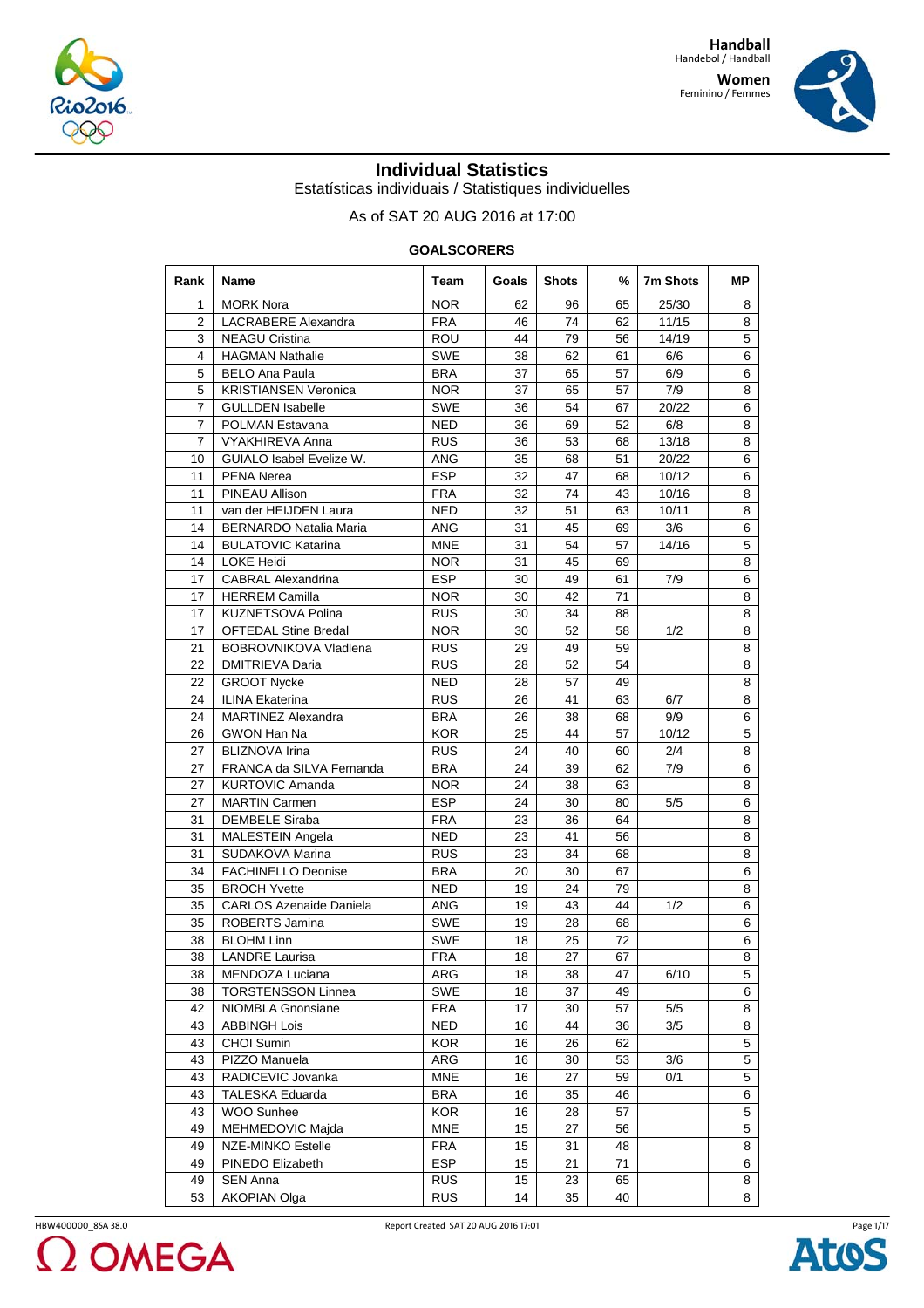



## **Individual Statistics**

Estatísticas individuais / Statistiques individuelles

As of SAT 20 AUG 2016 at 17:00

## **GOALSCORERS**

| Rank           | Name                            | Team       | Goals    | <b>Shots</b> | ℅  | 7m Shots | <b>MP</b> |
|----------------|---------------------------------|------------|----------|--------------|----|----------|-----------|
| 1              | <b>MORK Nora</b>                | <b>NOR</b> | 62       | 96           | 65 | 25/30    | 8         |
| $\overline{2}$ | <b>LACRABERE Alexandra</b>      | <b>FRA</b> | 46       | 74           | 62 | 11/15    | 8         |
| 3              | <b>NEAGU Cristina</b>           | ROU        | 44       | 79           | 56 | 14/19    | 5         |
| 4              | <b>HAGMAN Nathalie</b>          | <b>SWE</b> | 38       | 62           | 61 | 6/6      | 6         |
| 5              | <b>BELO Ana Paula</b>           | <b>BRA</b> | 37       | 65           | 57 | 6/9      | 6         |
| 5              | <b>KRISTIANSEN Veronica</b>     | <b>NOR</b> | 37       | 65           | 57 | 7/9      | 8         |
| 7              | <b>GULLDEN</b> Isabelle         | <b>SWE</b> | 36       | 54           | 67 | 20/22    | 6         |
| 7              | POLMAN Estavana                 | <b>NED</b> | 36       | 69           | 52 | 6/8      | 8         |
| $\overline{7}$ | VYAKHIREVA Anna                 | <b>RUS</b> | 36       | 53           | 68 | 13/18    | 8         |
| 10             | GUIALO Isabel Evelize W.        | <b>ANG</b> | 35       | 68           | 51 | 20/22    | 6         |
| 11             | PENA Nerea                      | <b>ESP</b> | 32       | 47           | 68 | 10/12    | 6         |
| 11             | PINEAU Allison                  | <b>FRA</b> | 32       | 74           | 43 | 10/16    | 8         |
| 11             | van der HEIJDEN Laura           | <b>NED</b> | 32       | 51           | 63 | 10/11    | 8         |
| 14             | <b>BERNARDO Natalia Maria</b>   | ANG        | 31       | 45           | 69 | 3/6      | 6         |
| 14             | <b>BULATOVIC Katarina</b>       | <b>MNE</b> | 31       | 54           | 57 | 14/16    | 5         |
| 14             | <b>LOKE Heidi</b>               | <b>NOR</b> | 31       | 45           | 69 |          | 8         |
| 17             | <b>CABRAL Alexandrina</b>       | <b>ESP</b> | 30       | 49           | 61 | 7/9      | 6         |
| 17             | <b>HERREM Camilla</b>           | <b>NOR</b> | 30       | 42           | 71 |          | 8         |
| 17             | <b>KUZNETSOVA Polina</b>        | <b>RUS</b> | 30       | 34           | 88 |          | 8         |
| 17             | <b>OFTEDAL Stine Bredal</b>     | <b>NOR</b> | 30       | 52           | 58 | 1/2      | 8         |
| 21             | <b>BOBROVNIKOVA Vladlena</b>    | <b>RUS</b> | 29       | 49           | 59 |          | 8         |
| 22             | <b>DMITRIEVA Daria</b>          | <b>RUS</b> | 28       | 52           | 54 |          | 8         |
| 22             | <b>GROOT Nycke</b>              | <b>NED</b> | 28       | 57           | 49 |          | 8         |
| 24             | <b>ILINA Ekaterina</b>          | <b>RUS</b> | 26       | 41           | 63 | 6/7      | 8         |
| 24             | <b>MARTINEZ Alexandra</b>       | <b>BRA</b> | 26       | 38           | 68 | 9/9      | 6         |
| 26             | <b>GWON Han Na</b>              | <b>KOR</b> | 25       | 44           | 57 | 10/12    | 5         |
| 27             | <b>BLIZNOVA Irina</b>           | <b>RUS</b> | 24       | 40           | 60 | 2/4      | 8         |
| 27             | FRANCA da SILVA Fernanda        | <b>BRA</b> | 24       | 39           | 62 | 7/9      | 6         |
| 27             | <b>KURTOVIC Amanda</b>          | <b>NOR</b> | 24       | 38           | 63 |          | 8         |
| 27             | <b>MARTIN Carmen</b>            | <b>ESP</b> | 24       | 30           | 80 | 5/5      | 6         |
| 31             | <b>DEMBELE Siraba</b>           | <b>FRA</b> | 23       | 36           | 64 |          | 8         |
| 31             | <b>MALESTEIN Angela</b>         | <b>NED</b> | 23       | 41           | 56 |          | 8         |
| 31             | <b>SUDAKOVA Marina</b>          | <b>RUS</b> | 23       | 34           | 68 |          | 8         |
| 34             | <b>FACHINELLO Deonise</b>       | <b>BRA</b> | 20       | 30           | 67 |          | 6         |
| 35             | <b>BROCH Yvette</b>             | <b>NED</b> | 19       | 24           | 79 |          | 8         |
| 35             | <b>CARLOS Azenaide Daniela</b>  | <b>ANG</b> | 19       | 43           | 44 | 1/2      | 6         |
| 35             | ROBERTS Jamina                  | <b>SWE</b> | 19       | 28           | 68 |          | 6         |
| 38             | <b>BLOHM Linn</b>               | <b>SWE</b> | 18       | 25           | 72 |          | 6         |
| 38             | <b>LANDRE Laurisa</b>           | <b>FRA</b> | 18       | 27           | 67 |          | 8         |
| 38             | MENDOZA Luciana                 | ARG        | 18       | 38           | 47 | 6/10     | 5         |
| 38             | <b>TORSTENSSON Linnea</b>       | SWE        | 18       | 37           | 49 |          | 6         |
| 42             | NIOMBLA Gnonsiane               | <b>FRA</b> | 17       | 30           | 57 | 5/5      | 8         |
| 43             | <b>ABBINGH Lois</b>             | <b>NED</b> | 16       | 44           | 36 | 3/5      | 8         |
| 43             | CHOI Sumin                      | <b>KOR</b> | 16       | 26           | 62 |          | 5         |
|                | PIZZO Manuela                   | ARG        |          |              | 53 | 3/6      | 5         |
| 43<br>43       | RADICEVIC Jovanka               |            | 16       | 30           | 59 |          | 5         |
| 43             | <b>TALESKA Eduarda</b>          | <b>MNE</b> | 16<br>16 | 27<br>35     | 46 | 0/1      | 6         |
|                | <b>WOO Sunhee</b>               | <b>BRA</b> |          |              |    |          |           |
| 43             | MEHMEDOVIC Majda                | <b>KOR</b> | 16       | 28           | 57 |          | 5<br>5    |
| 49             |                                 | <b>MNE</b> | 15       | 27           | 56 |          |           |
| 49             | NZE-MINKO Estelle               | <b>FRA</b> | 15       | 31           | 48 |          | 8         |
| 49             | PINEDO Elizabeth                | ESP        | 15       | 21           | 71 |          | 6         |
| 49             | SEN Anna<br><b>AKOPIAN Olga</b> | <b>RUS</b> | 15       | 23           | 65 |          | 8         |
| 53             |                                 | <b>RUS</b> | 14       | 35           | 40 |          | 8         |



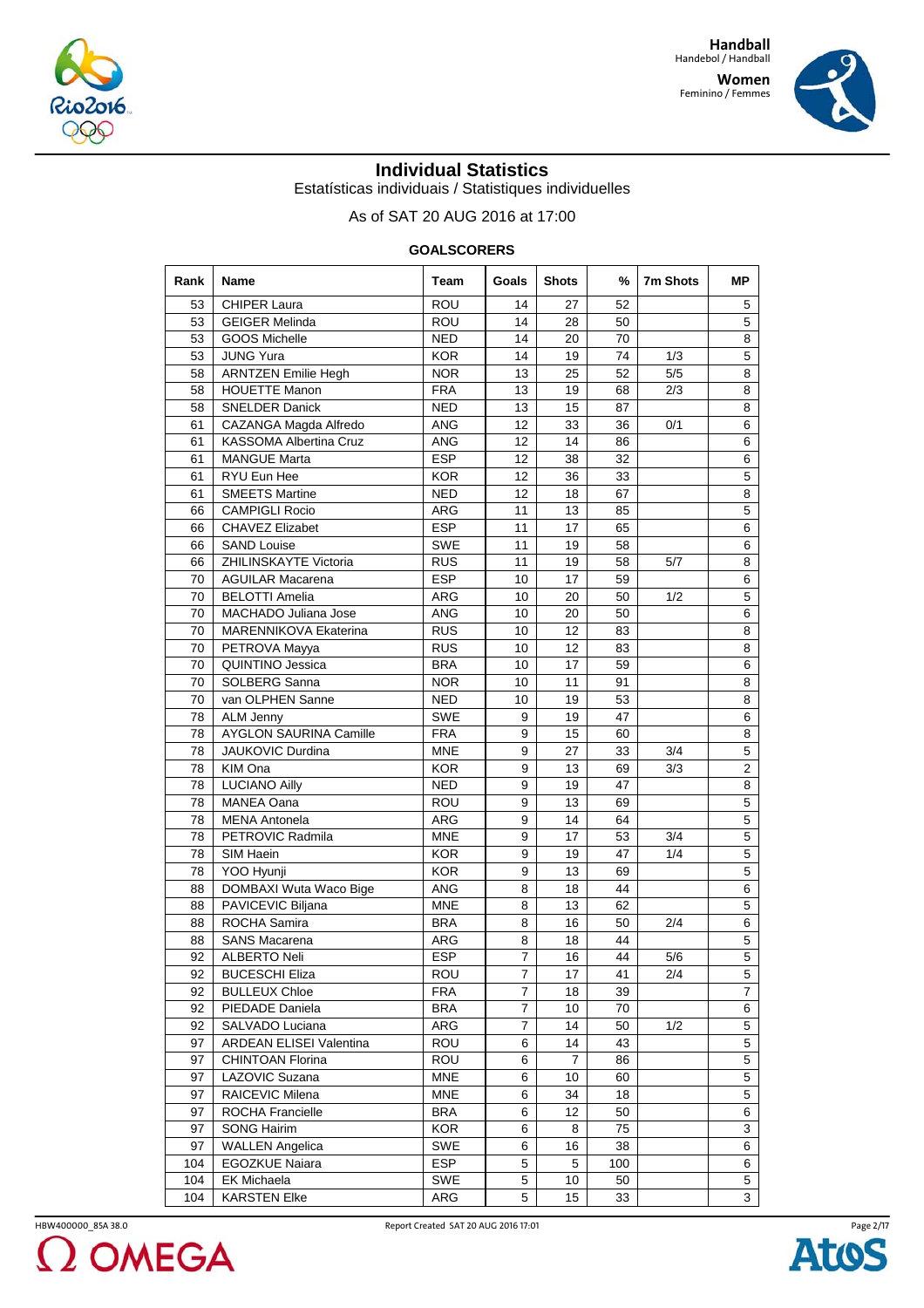



## **Individual Statistics**

Estatísticas individuais / Statistiques individuelles

As of SAT 20 AUG 2016 at 17:00

### **GOALSCORERS**

| Rank | Name                           | Team                     | Goals           | <b>Shots</b>    | %        | 7m Shots         | <b>MP</b>      |
|------|--------------------------------|--------------------------|-----------------|-----------------|----------|------------------|----------------|
| 53   | <b>CHIPER Laura</b>            | ROU                      | 14              | 27              | 52       |                  | 5              |
| 53   | <b>GEIGER Melinda</b>          | ROU                      | 14              | 28              | 50       |                  | 5              |
| 53   | <b>GOOS Michelle</b>           | <b>NED</b>               | 14              | 20              | 70       |                  | 8              |
| 53   | <b>JUNG Yura</b>               | <b>KOR</b>               | 14              | 19              | 74       | 1/3              | 5              |
| 58   | <b>ARNTZEN Emilie Hegh</b>     | <b>NOR</b>               | 13              | 25              | 52       | 5/5              | 8              |
| 58   | <b>HOUETTE Manon</b>           | <b>FRA</b>               | 13              | 19              | 68       | 2/3              | 8              |
| 58   | <b>SNELDER Danick</b>          | <b>NED</b>               | 13              | 15              | 87       |                  | 8              |
| 61   | CAZANGA Magda Alfredo          | ANG                      | 12              | 33              | 36       | 0/1              | 6              |
| 61   | KASSOMA Albertina Cruz         | <b>ANG</b>               | 12 <sup>2</sup> | 14              | 86       |                  | 6              |
| 61   | <b>MANGUE Marta</b>            | <b>ESP</b>               | 12 <sup>2</sup> | 38              | 32       |                  | 6              |
| 61   | RYU Eun Hee                    | <b>KOR</b>               | 12              | 36              | 33       |                  | 5              |
| 61   | <b>SMEETS Martine</b>          | <b>NED</b>               | 12              | 18              | 67       |                  | 8              |
| 66   | <b>CAMPIGLI Rocio</b>          | ARG                      | 11              | 13              | 85       |                  | 5              |
| 66   | <b>CHAVEZ Elizabet</b>         | <b>ESP</b>               | 11              | 17              | 65       |                  | 6              |
| 66   | <b>SAND Louise</b>             | SWE                      | 11              | 19              | 58       |                  | 6              |
| 66   | ZHILINSKAYTE Victoria          | <b>RUS</b>               | 11              | 19              | 58       | 5/7              | 8              |
| 70   | <b>AGUILAR Macarena</b>        | <b>ESP</b>               | 10              | 17              | 59       |                  | 6              |
| 70   | <b>BELOTTI Amelia</b>          | ARG                      | 10              | 20              | 50       | 1/2              | 5              |
| 70   | MACHADO Juliana Jose           | <b>ANG</b>               | 10              | 20              | 50       |                  | 6              |
| 70   | <b>MARENNIKOVA Ekaterina</b>   | <b>RUS</b>               | 10              | 12              | 83       |                  | 8              |
| 70   | PETROVA Mayya                  | RUS                      | 10              | 12 <sup>2</sup> | 83       |                  | 8              |
| 70   | QUINTINO Jessica               | <b>BRA</b>               | 10              | 17              | 59       |                  | 6              |
| 70   | SOLBERG Sanna                  | <b>NOR</b>               | 10              | 11              | 91       |                  | 8              |
| 70   | van OLPHEN Sanne               | <b>NED</b>               | 10              | 19              | 53       |                  | 8              |
| 78   | <b>ALM Jenny</b>               | <b>SWE</b>               | 9               | 19              | 47       |                  | 6              |
|      | <b>AYGLON SAURINA Camille</b>  | <b>FRA</b>               | 9               | 15              |          |                  | 8              |
| 78   | <b>JAUKOVIC Durdina</b>        | <b>MNE</b>               |                 | 27              | 60       | 3/4              | 5              |
| 78   | KIM Ona                        |                          | 9               |                 | 33       |                  | $\overline{2}$ |
| 78   | <b>LUCIANO Ailly</b>           | <b>KOR</b><br><b>NED</b> | 9<br>9          | 13<br>19        | 69<br>47 | 3/3              | 8              |
| 78   |                                |                          |                 |                 |          |                  |                |
| 78   | MANEA Oana                     | ROU                      | 9               | 13              | 69       |                  | 5              |
| 78   | <b>MENA Antonela</b>           | ARG                      | 9               | 14              | 64       |                  | 5              |
| 78   | PETROVIC Radmila               | <b>MNE</b>               | 9               | 17              | 53       | 3/4              | 5              |
| 78   | SIM Haein                      | <b>KOR</b>               | 9               | 19              | 47       | 1/4              | 5              |
| 78   | YOO Hyunji                     | <b>KOR</b>               | 9               | 13              | 69       |                  | 5              |
| 88   | <b>DOMBAXI Wuta Waco Bige</b>  | ANG                      | 8               | 18              | 44       |                  | 6              |
| 88   | PAVICEVIC Biljana              | <b>MNE</b>               | 8               | 13              | 62       |                  | 5              |
| 88   | <b>ROCHA Samira</b>            | <b>BRA</b>               | 8               | 16              | 50       | $\overline{2/4}$ | 6              |
| 88   | <b>SANS Macarena</b>           | <b>ARG</b>               | 8               | 18              | 44       |                  | 5              |
| 92   | <b>ALBERTO Neli</b>            | <b>ESP</b>               | $\overline{7}$  | 16              | 44       | 5/6              | $\overline{5}$ |
| 92   | <b>BUCESCHI Eliza</b>          | ROU                      | 7               | 17              | 41       | 2/4              | 5              |
| 92   | <b>BULLEUX Chloe</b>           | <b>FRA</b>               | 7               | 18              | 39       |                  | $\overline{7}$ |
| 92   | PIEDADE Daniela                | <b>BRA</b>               | 7               | 10              | 70       |                  | 6              |
| 92   | SALVADO Luciana                | ARG                      | 7               | 14              | 50       | 1/2              | 5              |
| 97   | <b>ARDEAN ELISEI Valentina</b> | <b>ROU</b>               | 6               | 14              | 43       |                  | 5              |
| 97   | <b>CHINTOAN Florina</b>        | ROU                      | 6               | 7               | 86       |                  | 5              |
| 97   | LAZOVIC Suzana                 | <b>MNE</b>               | 6               | 10              | 60       |                  | 5              |
| 97   | RAICEVIC Milena                | <b>MNE</b>               | 6               | 34              | 18       |                  | $\overline{5}$ |
| 97   | ROCHA Francielle               | <b>BRA</b>               | 6               | 12              | 50       |                  | 6              |
| 97   | SONG Hairim                    | <b>KOR</b>               | 6               | 8               | 75       |                  | 3              |
| 97   | <b>WALLEN Angelica</b>         | SWE                      | 6               | 16              | 38       |                  | 6              |
| 104  | EGOZKUE Naiara                 | <b>ESP</b>               | 5               | 5               | 100      |                  | 6              |
| 104  | EK Michaela                    | <b>SWE</b>               | 5               | 10              | 50       |                  | 5              |
| 104  | <b>KARSTEN Elke</b>            | ARG                      | 5               | 15              | 33       |                  | 3              |



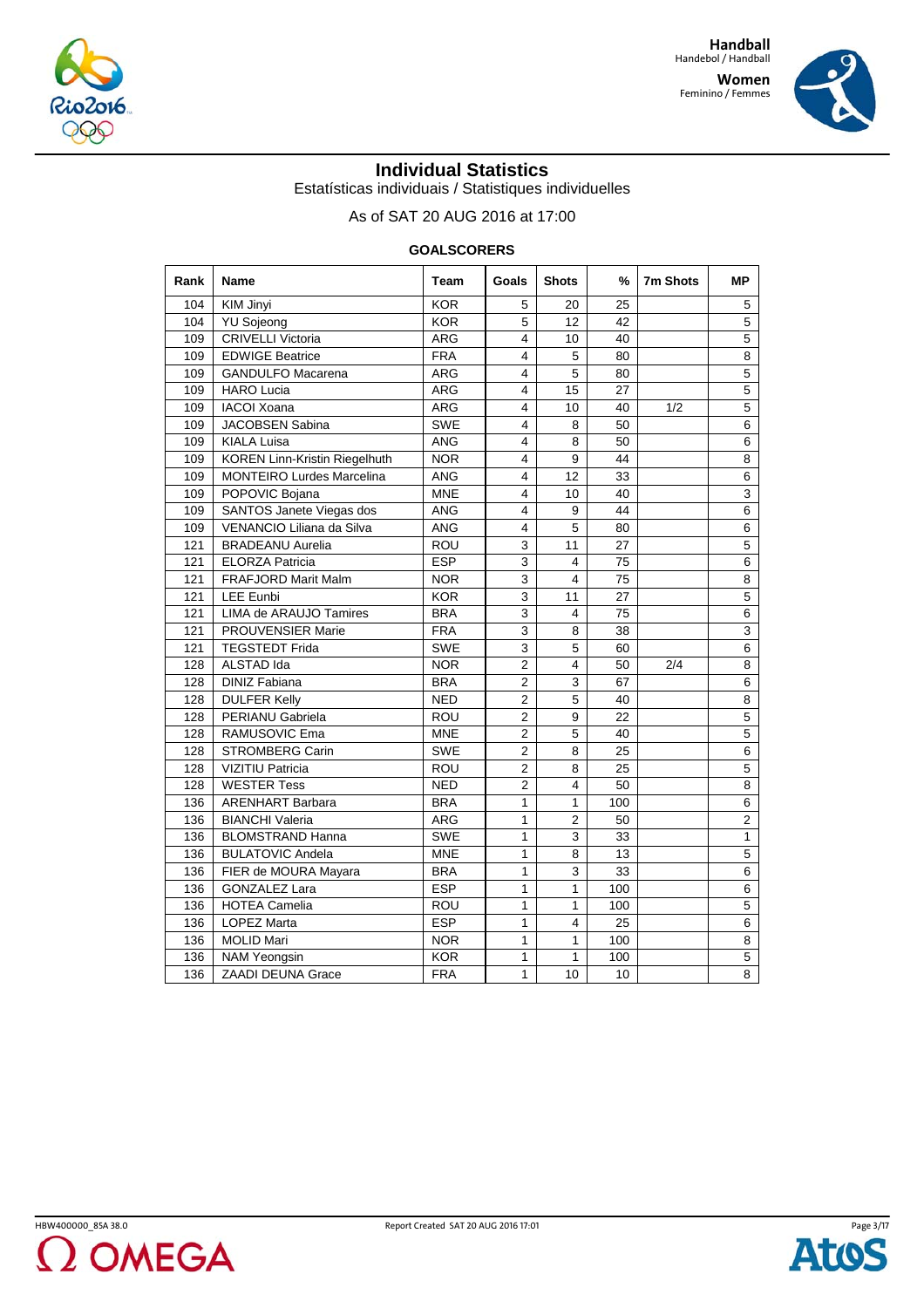



## **Individual Statistics**

Estatísticas individuais / Statistiques individuelles

As of SAT 20 AUG 2016 at 17:00

## **GOALSCORERS**

| Rank | Name                                 | Team       | Goals                   | <b>Shots</b>            | %   | 7m Shots | <b>MP</b>      |
|------|--------------------------------------|------------|-------------------------|-------------------------|-----|----------|----------------|
| 104  | <b>KIM Jinyi</b>                     | <b>KOR</b> | 5                       | 20                      | 25  |          | 5              |
| 104  | <b>YU</b> Sojeong                    | <b>KOR</b> | 5                       | 12                      | 42  |          | 5              |
| 109  | <b>CRIVELLI Victoria</b>             | <b>ARG</b> | 4                       | 10                      | 40  |          | 5              |
| 109  | <b>EDWIGE Beatrice</b>               | <b>FRA</b> | 4                       | 5                       | 80  |          | 8              |
| 109  | <b>GANDULFO Macarena</b>             | <b>ARG</b> | 4                       | 5                       | 80  |          | 5              |
| 109  | <b>HARO Lucia</b>                    | <b>ARG</b> | 4                       | 15                      | 27  |          | 5              |
| 109  | <b>IACOI</b> Xoana                   | <b>ARG</b> | 4                       | 10                      | 40  | 1/2      | 5              |
| 109  | <b>JACOBSEN Sabina</b>               | <b>SWE</b> | 4                       | 8                       | 50  |          | 6              |
| 109  | <b>KIALA Luisa</b>                   | <b>ANG</b> | 4                       | 8                       | 50  |          | 6              |
| 109  | <b>KOREN Linn-Kristin Riegelhuth</b> | <b>NOR</b> | 4                       | 9                       | 44  |          | 8              |
| 109  | <b>MONTEIRO Lurdes Marcelina</b>     | <b>ANG</b> | 4                       | 12                      | 33  |          | 6              |
| 109  | POPOVIC Bojana                       | <b>MNE</b> | 4                       | 10                      | 40  |          | 3              |
| 109  | SANTOS Janete Viegas dos             | <b>ANG</b> | 4                       | 9                       | 44  |          | 6              |
| 109  | VENANCIO Liliana da Silva            | <b>ANG</b> | 4                       | 5                       | 80  |          | 6              |
| 121  | <b>BRADEANU Aurelia</b>              | ROU        | 3                       | 11                      | 27  |          | 5              |
| 121  | <b>ELORZA Patricia</b>               | <b>ESP</b> | 3                       | $\overline{\mathbf{4}}$ | 75  |          | 6              |
| 121  | FRAFJORD Marit Malm                  | <b>NOR</b> | 3                       | $\overline{4}$          | 75  |          | 8              |
| 121  | LEE Eunbi                            | KOR        | 3                       | 11                      | 27  |          | 5              |
| 121  | LIMA de ARAUJO Tamires               | <b>BRA</b> | $\overline{\mathbf{3}}$ | $\overline{4}$          | 75  |          | $\overline{6}$ |
| 121  | PROUVENSIER Marie                    | <b>FRA</b> | 3                       | 8                       | 38  |          | 3              |
| 121  | <b>TEGSTEDT Frida</b>                | <b>SWE</b> | 3                       | 5                       | 60  |          | 6              |
| 128  | ALSTAD Ida                           | <b>NOR</b> | $\overline{2}$          | $\overline{\mathbf{4}}$ | 50  | 2/4      | 8              |
| 128  | <b>DINIZ Fabiana</b>                 | <b>BRA</b> | 2                       | 3                       | 67  |          | 6              |
| 128  | <b>DULFER Kelly</b>                  | <b>NED</b> | $\overline{2}$          | 5                       | 40  |          | 8              |
| 128  | PERIANU Gabriela                     | <b>ROU</b> | $\overline{2}$          | $\overline{9}$          | 22  |          | $\overline{5}$ |
| 128  | RAMUSOVIC Ema                        | <b>MNE</b> | $\overline{2}$          | 5                       | 40  |          | 5              |
| 128  | <b>STROMBERG Carin</b>               | <b>SWE</b> | $\overline{2}$          | 8                       | 25  |          | 6              |
| 128  | VIZITIU Patricia                     | ROU        | $\overline{c}$          | 8                       | 25  |          | 5              |
| 128  | <b>WESTER Tess</b>                   | <b>NED</b> | $\overline{2}$          | $\overline{4}$          | 50  |          | 8              |
| 136  | <b>ARENHART Barbara</b>              | <b>BRA</b> | 1                       | $\mathbf{1}$            | 100 |          | 6              |
| 136  | <b>BIANCHI Valeria</b>               | ARG        | $\mathbf{1}$            | $\overline{2}$          | 50  |          | $\overline{c}$ |
| 136  | <b>BLOMSTRAND Hanna</b>              | <b>SWE</b> | 1                       | 3                       | 33  |          | 1              |
| 136  | <b>BULATOVIC Andela</b>              | <b>MNE</b> | 1                       | 8                       | 13  |          | 5              |
| 136  | FIER de MOURA Mayara                 | <b>BRA</b> | 1                       | 3                       | 33  |          | 6              |
| 136  | <b>GONZALEZ Lara</b>                 | ESP        | $\mathbf{1}$            | $\mathbf{1}$            | 100 |          | 6              |
| 136  | <b>HOTEA Camelia</b>                 | <b>ROU</b> | $\mathbf{1}$            | $\mathbf{1}$            | 100 |          | 5              |
| 136  | <b>LOPEZ Marta</b>                   | <b>ESP</b> | 1                       | 4                       | 25  |          | 6              |
| 136  | <b>MOLID Mari</b>                    | <b>NOR</b> | 1                       | 1                       | 100 |          | 8              |
| 136  | <b>NAM Yeongsin</b>                  | <b>KOR</b> | 1                       | 1                       | 100 |          | 5              |
| 136  | ZAADI DEUNA Grace                    | <b>FRA</b> | 1                       | 10                      | 10  |          | 8              |

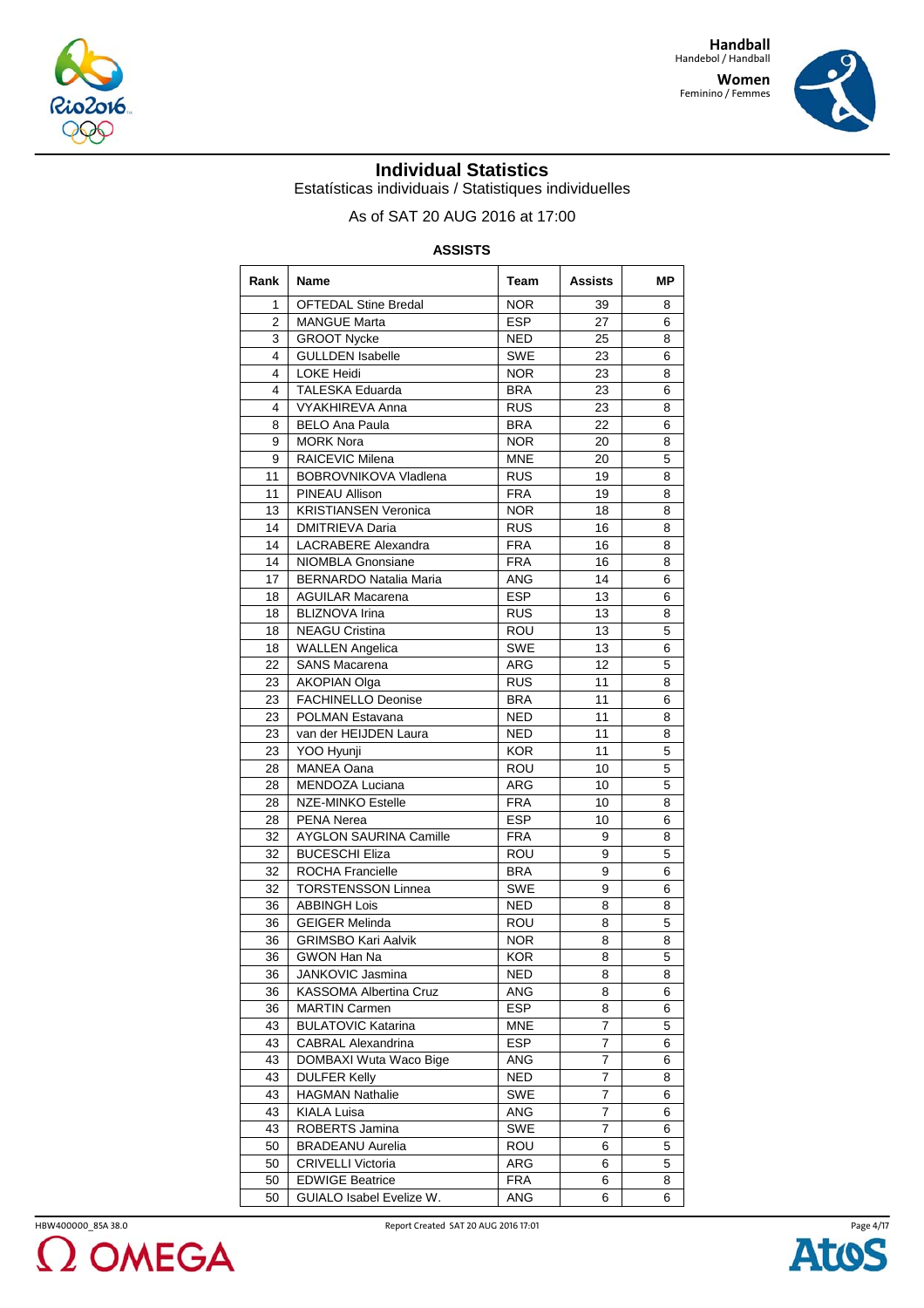



## **Individual Statistics**

Estatísticas individuais / Statistiques individuelles

# As of SAT 20 AUG 2016 at 17:00

## **ASSISTS**

| Rank           | Name                                               | Team              | <b>Assists</b> | MР     |
|----------------|----------------------------------------------------|-------------------|----------------|--------|
| 1              | <b>OFTEDAL Stine Bredal</b>                        | <b>NOR</b>        | 39             | 8      |
| $\overline{2}$ | <b>MANGUE Marta</b>                                | <b>ESP</b>        | 27             | 6      |
| 3              | <b>GROOT Nycke</b>                                 | <b>NED</b>        | 25             | 8      |
| 4              | <b>GULLDEN Isabelle</b>                            | <b>SWE</b>        | 23             | 6      |
| 4              | <b>LOKE Heidi</b>                                  | <b>NOR</b>        | 23             | 8      |
| 4              | TALESKA Eduarda                                    | <b>BRA</b>        | 23             | 6      |
| 4              | VYAKHIREVA Anna                                    | <b>RUS</b>        | 23             | 8      |
| 8              | <b>BELO Ana Paula</b>                              | <b>BRA</b>        | 22             | 6      |
| 9              | <b>MORK Nora</b>                                   | <b>NOR</b>        | 20             | 8      |
| 9              | RAICEVIC Milena                                    | <b>MNE</b>        | 20             | 5      |
| 11             | BOBROVNIKOVA Vladlena                              | <b>RUS</b>        | 19             | 8      |
| 11             | PINEAU Allison                                     | <b>FRA</b>        | 19             | 8      |
| 13             | <b>KRISTIANSEN Veronica</b>                        | <b>NOR</b>        | 18             | 8      |
| 14             | <b>DMITRIEVA Daria</b>                             | <b>RUS</b>        | 16             | 8      |
| 14             | <b>LACRABERE Alexandra</b>                         | <b>FRA</b>        | 16             | 8      |
| 14             | NIOMBLA Gnonsiane                                  | <b>FRA</b>        | 16             | 8      |
| 17             | <b>BERNARDO Natalia Maria</b>                      | <b>ANG</b>        | 14             | 6      |
| 18             | <b>AGUILAR Macarena</b>                            | <b>ESP</b>        | 13             | 6      |
| 18             | <b>BLIZNOVA Irina</b>                              | <b>RUS</b>        | 13             | 8      |
| 18             | <b>NEAGU Cristina</b>                              | <b>ROU</b>        | 13             | 5      |
| 18             | <b>WALLEN Angelica</b>                             | <b>SWE</b>        | 13             | 6      |
| 22             | <b>SANS Macarena</b>                               | ARG               | 12             | 5      |
| 23             | <b>AKOPIAN Olga</b>                                | <b>RUS</b>        | 11             | 8      |
| 23             | <b>FACHINELLO Deonise</b>                          | <b>BRA</b>        | 11             | 6      |
| 23             | POLMAN Estavana                                    | <b>NED</b>        | 11             | 8      |
| 23             | van der HEIJDEN Laura                              | <b>NED</b>        | 11             | 8      |
| 23             | YOO Hyunji                                         | <b>KOR</b>        | 11             | 5      |
| 28             | <b>MANEA Oana</b>                                  | ROU               | 10             | 5      |
| 28             | MENDOZA Luciana                                    | <b>ARG</b>        | 10             | 5      |
| 28             | <b>NZE-MINKO Estelle</b>                           | <b>FRA</b>        | 10             | 8      |
| 28             | PENA Nerea                                         | <b>ESP</b>        | 10             | 6      |
| 32             | <b>AYGLON SAURINA Camille</b>                      | <b>FRA</b>        | 9              | 8      |
| 32             | <b>BUCESCHI Eliza</b>                              | <b>ROU</b>        | 9              | 5      |
| 32             | ROCHA Francielle                                   | <b>BRA</b>        | 9              | 6      |
| 32             | <b>TORSTENSSON Linnea</b>                          | <b>SWE</b>        | 9              | 6      |
| 36             | <b>ABBINGH Lois</b>                                | <b>NED</b>        | 8              | 8      |
| 36             | <b>GEIGER Melinda</b>                              | <b>ROU</b>        | 8              | 5      |
| 36             | <b>GRIMSBO Kari Aalvik</b>                         | <b>NOR</b>        | 8              | 8      |
| 36             | <b>GWON Han Na</b>                                 | <b>KOR</b>        | 8              | 5      |
| 36             | JANKOVIC Jasmina                                   | <b>NED</b>        | 8              | 8      |
| 36             | KASSOMA Albertina Cruz                             | ANG               | 8              | 6      |
| 36             | <b>MARTIN Carmen</b>                               | <b>ESP</b>        | 8              | 6      |
| 43             | <b>BULATOVIC Katarina</b>                          | <b>MNE</b>        | 7              | 5      |
| 43             | <b>CABRAL Alexandrina</b>                          | ESP               | 7              | 6      |
| 43             | DOMBAXI Wuta Waco Bige                             | ANG               | 7              | 6      |
| 43             | <b>DULFER Kelly</b>                                | <b>NED</b>        | 7              | 8      |
| 43             | <b>HAGMAN Nathalie</b>                             | <b>SWE</b>        | 7              | 6      |
| 43             | <b>KIALA Luisa</b>                                 | <b>ANG</b>        |                |        |
| 43             | ROBERTS Jamina                                     | SWE               | 7<br>7         | 6      |
|                | <b>BRADEANU Aurelia</b>                            |                   |                | 6      |
| 50             | <b>CRIVELLI Victoria</b>                           | ROU               | 6              | 5      |
| 50             |                                                    | ARG<br><b>FRA</b> | 6              | 5      |
| 50<br>50       | <b>EDWIGE Beatrice</b><br>GUIALO Isabel Evelize W. | ANG               | 6<br>6         | 8<br>6 |
|                |                                                    |                   |                |        |



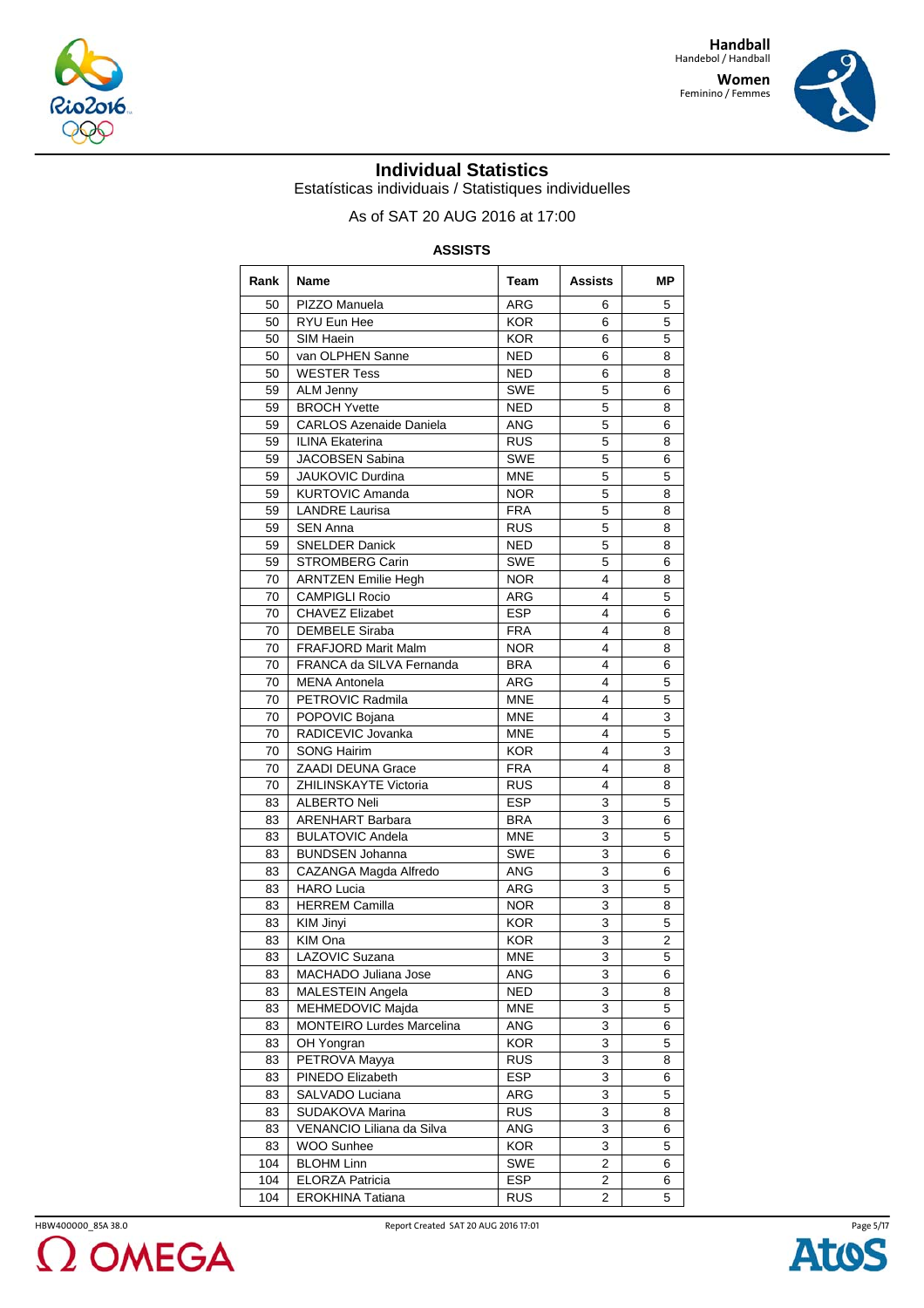



## **Individual Statistics**

Estatísticas individuais / Statistiques individuelles

# As of SAT 20 AUG 2016 at 17:00

## **ASSISTS**

| Rank | Name                             | Team       | <b>Assists</b> | MΡ             |
|------|----------------------------------|------------|----------------|----------------|
| 50   | PIZZO Manuela                    | <b>ARG</b> | 6              | 5              |
| 50   | RYU Eun Hee                      | <b>KOR</b> | 6              | 5              |
| 50   | SIM Haein                        | <b>KOR</b> | 6              | 5              |
| 50   | van OLPHEN Sanne                 | <b>NED</b> | 6              | 8              |
| 50   | <b>WESTER Tess</b>               | <b>NED</b> | 6              | 8              |
| 59   | ALM Jenny                        | <b>SWE</b> | 5              | 6              |
| 59   | <b>BROCH Yvette</b>              | <b>NED</b> | 5              | 8              |
| 59   | <b>CARLOS Azenaide Daniela</b>   | <b>ANG</b> | 5              | 6              |
| 59   | <b>ILINA Ekaterina</b>           | <b>RUS</b> | 5              | 8              |
| 59   | <b>JACOBSEN Sabina</b>           | <b>SWE</b> | 5              | 6              |
| 59   | JAUKOVIC Durdina                 | <b>MNE</b> | 5              | 5              |
| 59   | <b>KURTOVIC Amanda</b>           | <b>NOR</b> | 5              | 8              |
| 59   | <b>LANDRE Laurisa</b>            | <b>FRA</b> | 5              | 8              |
| 59   | <b>SEN Anna</b>                  | <b>RUS</b> | 5              | 8              |
| 59   | <b>SNELDER Danick</b>            | <b>NED</b> | 5              | 8              |
| 59   | STROMBERG Carin                  | <b>SWE</b> | 5              | 6              |
| 70   | <b>ARNTZEN Emilie Hegh</b>       | <b>NOR</b> | 4              | 8              |
| 70   | <b>CAMPIGLI Rocio</b>            | <b>ARG</b> | 4              | 5              |
| 70   | <b>CHAVEZ Elizabet</b>           | <b>ESP</b> | 4              | 6              |
| 70   | <b>DEMBELE Siraba</b>            | <b>FRA</b> | 4              | 8              |
| 70   | <b>FRAFJORD Marit Malm</b>       | <b>NOR</b> | 4              | 8              |
| 70   | FRANCA da SILVA Fernanda         | <b>BRA</b> | 4              | 6              |
| 70   | <b>MENA Antonela</b>             | <b>ARG</b> |                |                |
| 70   | PETROVIC Radmila                 | <b>MNE</b> | 4              | 5<br>5         |
| 70   |                                  | <b>MNE</b> | 4<br>4         | 3              |
|      | POPOVIC Bojana                   |            |                |                |
| 70   | RADICEVIC Jovanka                | <b>MNE</b> | 4              | 5              |
| 70   | <b>SONG Hairim</b>               | <b>KOR</b> | 4              | 3              |
| 70   | <b>ZAADI DEUNA Grace</b>         | <b>FRA</b> | 4              | 8              |
| 70   | ZHILINSKAYTE Victoria            | RUS        | 4              | 8              |
| 83   | ALBERTO Neli                     | <b>ESP</b> | 3              | 5              |
| 83   | ARENHART Barbara                 | <b>BRA</b> | 3              | 6              |
| 83   | <b>BULATOVIC Andela</b>          | <b>MNE</b> | 3              | 5              |
| 83   | <b>BUNDSEN Johanna</b>           | <b>SWE</b> | 3              | 6              |
| 83   | CAZANGA Magda Alfredo            | <b>ANG</b> | 3              | 6              |
| 83   | <b>HARO Lucia</b>                | ARG        | 3              | 5              |
| 83   | <b>HERREM Camilla</b>            | <b>NOR</b> | 3              | 8              |
| 83   | <b>KIM Jinyi</b>                 | <b>KOR</b> | 3              | 5              |
| 83   | KIM Ona                          | <b>KOR</b> | 3              | $\overline{c}$ |
| 83   | LAZOVIC Suzana                   | <b>MNE</b> | $\overline{3}$ | 5              |
| 83   | MACHADO Juliana Jose             | <b>ANG</b> | 3              | 6              |
| 83   | MALESTEIN Angela                 | <b>NED</b> | 3              | 8              |
| 83   | MEHMEDOVIC Majda                 | <b>MNE</b> | 3              | 5              |
| 83   | <b>MONTEIRO Lurdes Marcelina</b> | ANG        | 3              | 6              |
| 83   | OH Yongran                       | <b>KOR</b> | 3              | 5              |
| 83   | PETROVA Mayya                    | <b>RUS</b> | 3              | 8              |
| 83   | PINEDO Elizabeth                 | <b>ESP</b> | 3              | 6              |
| 83   | SALVADO Luciana                  | ARG        | 3              | 5              |
| 83   | SUDAKOVA Marina                  | <b>RUS</b> | 3              | 8              |
| 83   | VENANCIO Liliana da Silva        | ANG        | 3              | 6              |
| 83   | WOO Sunhee                       | <b>KOR</b> | 3              | 5              |
| 104  | <b>BLOHM Linn</b>                | SWE        | 2              | 6              |
| 104  | ELORZA Patricia                  | <b>ESP</b> | 2              | 6              |
| 104  | EROKHINA Tatiana                 | <b>RUS</b> | $\overline{2}$ | 5              |





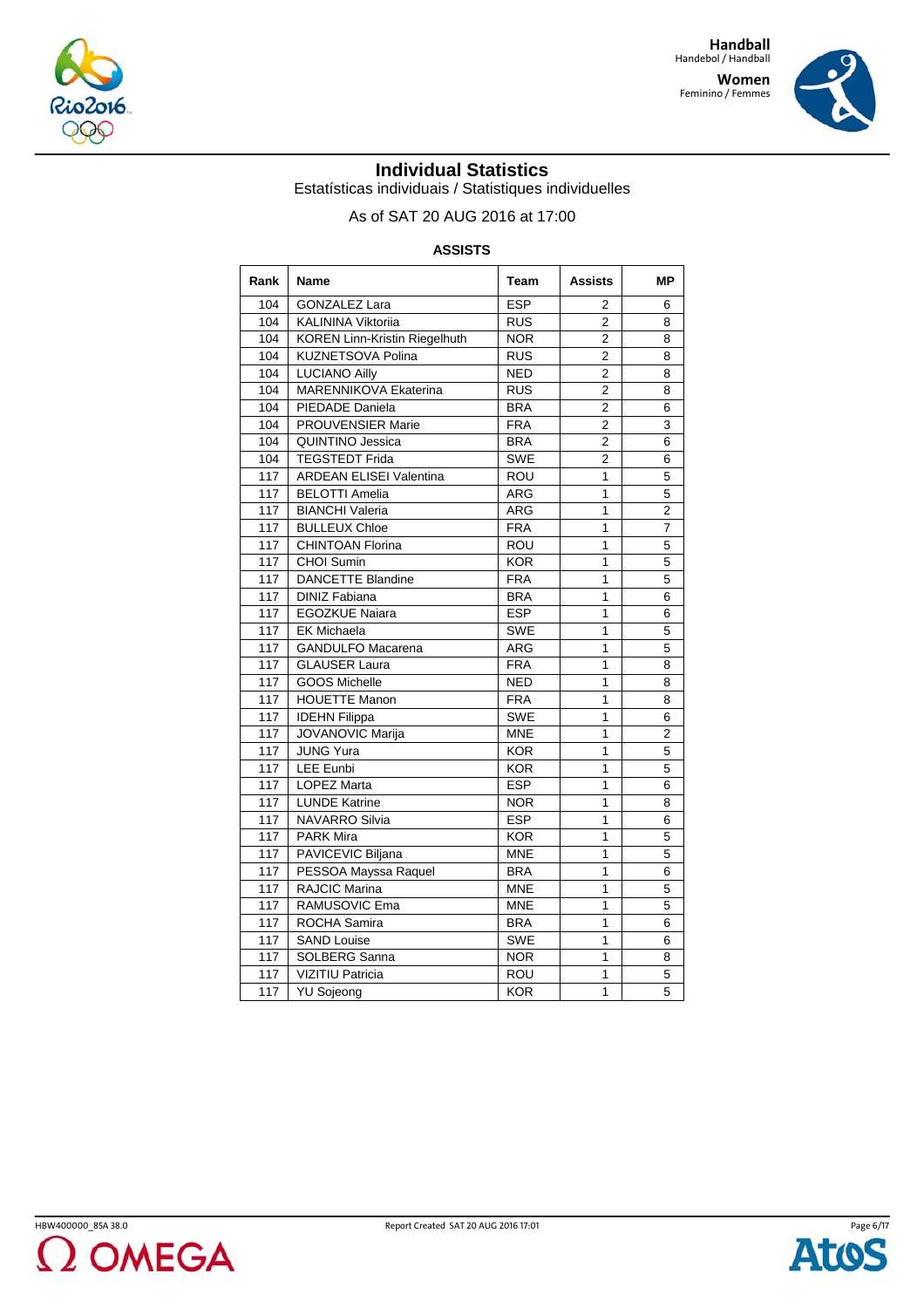



## **Individual Statistics**

Estatísticas individuais / Statistiques individuelles

# As of SAT 20 AUG 2016 at 17:00

## **ASSISTS**

| Rank             | <b>Name</b>                          | Team       | <b>Assists</b> | <b>MP</b>      |
|------------------|--------------------------------------|------------|----------------|----------------|
| 104              | <b>GONZALEZ Lara</b>                 | <b>ESP</b> | 2              | 6              |
| 104              | <b>KALININA Viktoriia</b>            | <b>RUS</b> | $\overline{2}$ | 8              |
| 104              | <b>KOREN Linn-Kristin Riegelhuth</b> | <b>NOR</b> | 2              | 8              |
| 104              | KUZNETSOVA Polina                    | <b>RUS</b> | $\overline{2}$ | 8              |
| 104              | <b>LUCIANO Ailly</b>                 | <b>NED</b> | 2              | 8              |
| 104              | <b>MARENNIKOVA Ekaterina</b>         | <b>RUS</b> | $\overline{c}$ | 8              |
| 104              | PIEDADE Daniela                      | <b>BRA</b> | 2              | 6              |
| 104              | <b>PROUVENSIER Marie</b>             | <b>FRA</b> | $\overline{2}$ | 3              |
| 104              | <b>QUINTINO Jessica</b>              | <b>BRA</b> | 2              | 6              |
| 104              | <b>TEGSTEDT Frida</b>                | <b>SWE</b> | 2              | 6              |
| 117              | <b>ARDEAN ELISEI Valentina</b>       | ROU        | 1              | 5              |
| 117              | <b>BELOTTI Amelia</b>                | <b>ARG</b> | 1              | 5              |
| 117              | <b>BIANCHI Valeria</b>               | ARG        | 1              | $\overline{2}$ |
| 117              | <b>BULLEUX Chloe</b>                 | <b>FRA</b> | 1              | $\overline{7}$ |
| 117              | CHINTOAN Florina                     | ROU        | 1              | 5              |
| 117              | CHOI Sumin                           | <b>KOR</b> | 1              | 5              |
| 117              | DANCETTE Blandine                    | <b>FRA</b> | 1              | 5              |
| 117              | <b>DINIZ Fabiana</b>                 | <b>BRA</b> | 1              | 6              |
| 117              | <b>EGOZKUE Naiara</b>                | <b>ESP</b> | 1              | 6              |
| 117              | <b>EK Michaela</b>                   | <b>SWE</b> | 1              | 5              |
| 117              | <b>GANDULFO Macarena</b>             | <b>ARG</b> | 1              | 5              |
| 117              | <b>GLAUSER Laura</b>                 | <b>FRA</b> | 1              | 8              |
| 117              | <b>GOOS Michelle</b>                 | <b>NED</b> | 1              | 8              |
| 117              | <b>HOUETTE Manon</b>                 | <b>FRA</b> | 1              | 8              |
| 117              | <b>IDEHN Filippa</b>                 | <b>SWE</b> | 1              | 6              |
| 117              | <b>JOVANOVIC Marija</b>              | <b>MNE</b> | 1              | $\overline{2}$ |
| 117              | JUNG Yura                            | <b>KOR</b> | 1              | 5              |
| 117              | <b>LEE Eunbi</b>                     | <b>KOR</b> | 1              | 5              |
| 117              | <b>LOPEZ Marta</b>                   | <b>ESP</b> | 1              | 6              |
| 117              | <b>LUNDE Katrine</b>                 | <b>NOR</b> | 1              | 8              |
| 117              | <b>NAVARRO Silvia</b>                | <b>ESP</b> | 1              | 6              |
| 117              | <b>PARK Mira</b>                     | <b>KOR</b> | 1              | 5              |
| 117              | PAVICEVIC Biljana                    | <b>MNE</b> | 1              | 5              |
| 117              | PESSOA Mayssa Raquel                 | <b>BRA</b> | 1              | 6              |
| 117              | RAJCIC Marina                        | <b>MNE</b> | 1              | 5              |
| $\overline{1}17$ | RAMUSOVIC Ema                        | <b>MNE</b> | 1              | 5              |
| 117              | ROCHA Samira                         | <b>BRA</b> | 1              | 6              |
| 117              | <b>SAND Louise</b>                   | <b>SWE</b> | 1              | 6              |
| 117              | SOLBERG Sanna                        | <b>NOR</b> | 1              | 8              |
| 117              | VIZITIU Patricia                     | <b>ROU</b> | 1              | 5              |
| 117              | <b>YU Sojeong</b>                    | <b>KOR</b> | $\overline{1}$ | $\overline{5}$ |

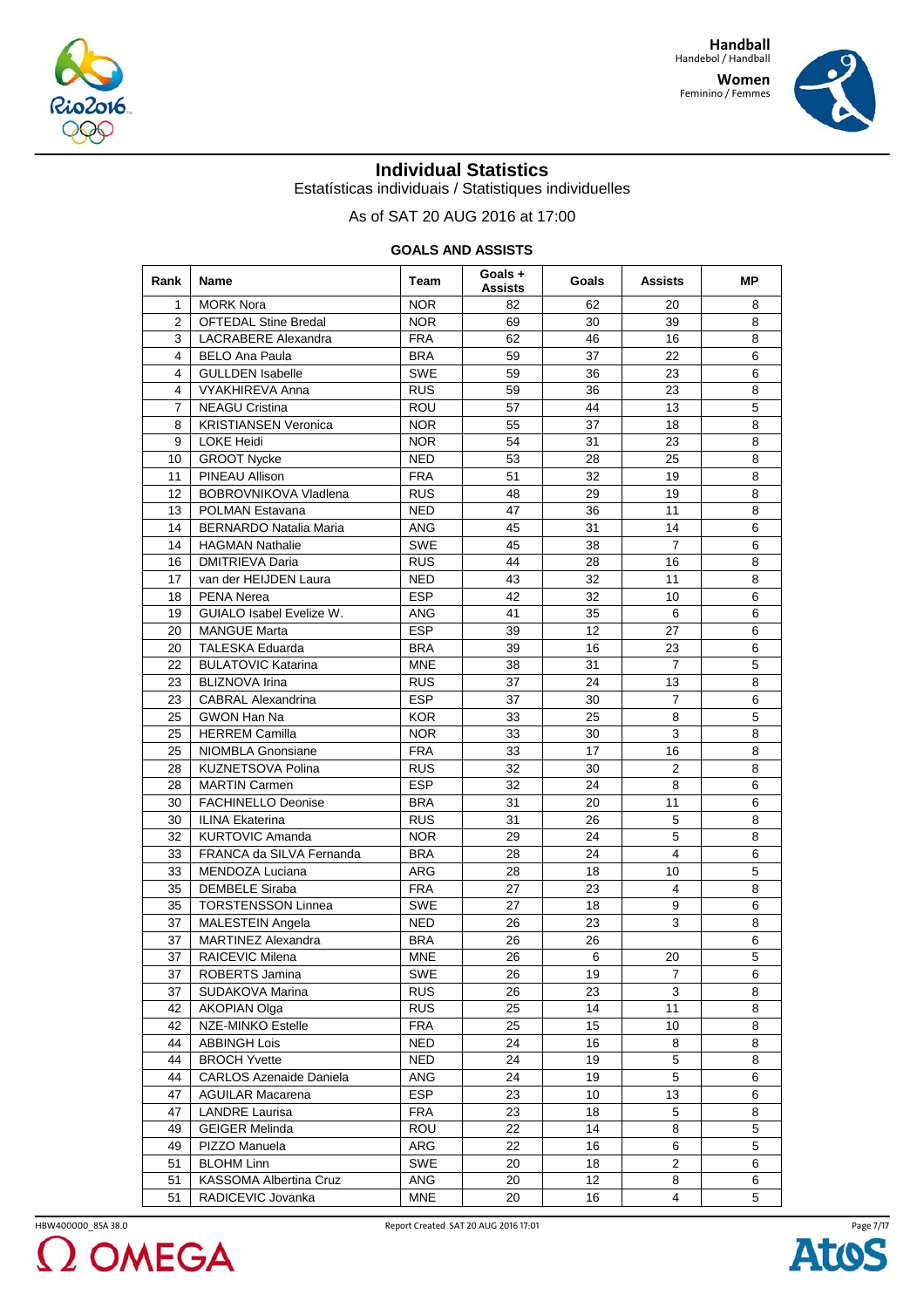



## **Individual Statistics**

Estatísticas individuais / Statistiques individuelles

As of SAT 20 AUG 2016 at 17:00

| Rank           | Name                            | Team                               | Goals+<br>Assists | Goals             | Assists             | МP             |
|----------------|---------------------------------|------------------------------------|-------------------|-------------------|---------------------|----------------|
| 1              | <b>MORK Nora</b>                | <b>NOR</b>                         | 82                | 62                | 20                  | 8              |
| $\overline{2}$ | <b>OFTEDAL Stine Bredal</b>     | <b>NOR</b>                         | 69                | 30                | 39                  | 8              |
| 3              | LACRABERE Alexandra             | <b>FRA</b>                         | 62                | 46                | 16                  | 8              |
| 4              | <b>BELO Ana Paula</b>           | <b>BRA</b>                         | 59                | 37                | 22                  | 6              |
| 4              | <b>GULLDEN Isabelle</b>         | <b>SWE</b>                         | 59                | 36                | 23                  | 6              |
| 4              | <b>VYAKHIREVA Anna</b>          | <b>RUS</b>                         | 59                | 36                | 23                  | 8              |
| $\overline{7}$ | <b>NEAGU Cristina</b>           | ROU                                | 57                | 44                | 13                  | 5              |
| 8              | <b>KRISTIANSEN Veronica</b>     | <b>NOR</b>                         | 55                | 37                | 18                  | 8              |
| 9              | <b>LOKE Heidi</b>               | <b>NOR</b>                         | 54                | 31                | 23                  | 8              |
| 10             | <b>GROOT Nycke</b>              | <b>NED</b>                         | 53                | 28                | 25                  | 8              |
| 11             | PINEAU Allison                  | <b>FRA</b>                         | 51                | 32                | 19                  | 8              |
| 12             | <b>BOBROVNIKOVA Vladlena</b>    | <b>RUS</b>                         | 48                | 29                | 19                  | 8              |
| 13             | POLMAN Estavana                 | <b>NED</b>                         | 47                | 36                | 11                  | 8              |
| 14             | <b>BERNARDO Natalia Maria</b>   | <b>ANG</b>                         | 45                | 31                | 14                  | 6              |
| 14             | <b>HAGMAN Nathalie</b>          | <b>SWE</b>                         | 45                | 38                | $\overline{7}$      | 6              |
| 16             | <b>DMITRIEVA Daria</b>          | <b>RUS</b>                         | 44                | 28                | 16                  | 8              |
| 17             | van der HEIJDEN Laura           | <b>NED</b>                         | 43                | 32                | 11                  | 8              |
| 18             | <b>PENA Nerea</b>               | <b>ESP</b>                         | 42                | 32                | 10                  | 6              |
| 19             | <b>GUIALO Isabel Evelize W.</b> | ANG                                | 41                | 35                | 6                   | 6              |
| 20             | <b>MANGUE Marta</b>             | <b>ESP</b>                         | 39                | 12                | 27                  | 6              |
| 20             | <b>TALESKA Eduarda</b>          | <b>BRA</b>                         | 39                | 16                | 23                  | 6              |
| 22             | <b>BULATOVIC Katarina</b>       | <b>MNE</b>                         | 38                | 31                | $\overline{7}$      | 5              |
| 23             | <b>BLIZNOVA Irina</b>           | <b>RUS</b>                         | 37                | 24                | 13                  | 8              |
| 23             | <b>CABRAL Alexandrina</b>       | <b>ESP</b>                         | 37                | 30                | 7                   | 6              |
| 25             | GWON Han Na                     | <b>KOR</b>                         | 33                | 25                | 8                   | 5              |
| 25             | <b>HERREM Camilla</b>           | <b>NOR</b>                         | 33                | 30                | $\mathbf{3}$        | 8              |
| 25             | NIOMBLA Gnonsiane               | <b>FRA</b>                         | 33                | 17                | 16                  | 8              |
| 28             | <b>KUZNETSOVA Polina</b>        | <b>RUS</b>                         | 32                | 30                | 2                   | 8              |
| 28             | <b>MARTIN Carmen</b>            | <b>ESP</b>                         | 32                | 24                | 8                   | 6              |
| 30             | <b>FACHINELLO Deonise</b>       | <b>BRA</b>                         | 31                | 20                | 11                  | 6              |
| 30             | <b>ILINA Ekaterina</b>          | <b>RUS</b>                         | 31                | 26                | 5                   | 8              |
| 32             | <b>KURTOVIC Amanda</b>          | <b>NOR</b>                         | 29                | 24                | 5                   | 8              |
| 33             | FRANCA da SILVA Fernanda        | <b>BRA</b>                         | 28                | 24                | $\overline{4}$      | 6              |
| 33             | MENDOZA Luciana                 | ARG                                | 28                | 18                | 10                  | 5              |
| 35             | <b>DEMBELE Siraba</b>           | <b>FRA</b>                         | 27                | 23                | $\overline{4}$      | 8              |
| 35             | <b>TORSTENSSON Linnea</b>       | <b>SWE</b>                         | 27                | 18                | 9                   | 6              |
| 37             | MALESTEIN Angela                | <b>NED</b>                         | 26                | 23                | 3                   | 8              |
| 37             | <b>MARTINEZ Alexandra</b>       | <b>BRA</b>                         | 26                | 26                |                     | 6              |
| 37             | RAICEVIC Milena                 | <b>MNE</b>                         | 26                | 6                 | 20                  | $\overline{5}$ |
| 37             | ROBERTS Jamina                  | <b>SWE</b>                         | 26                | 19                | 7                   | 6              |
| 37             | SUDAKOVA Marina                 | <b>RUS</b>                         | 26                | 23                | 3                   | 8              |
| 42             | <b>AKOPIAN Olga</b>             | <b>RUS</b>                         | 25                | 14                | 11                  | 8              |
| 42             | NZE-MINKO Estelle               | <b>FRA</b>                         | 25                | 15                | 10                  | 8              |
| 44             | <b>ABBINGH Lois</b>             | <b>NED</b>                         | 24                | 16                | 8                   | 8              |
| 44             | <b>BROCH Yvette</b>             | <b>NED</b>                         | 24                | 19                | 5                   | 8              |
| 44             | <b>CARLOS Azenaide Daniela</b>  | ANG                                | 24                | 19                | 5                   | 6              |
| 47             | <b>AGUILAR Macarena</b>         | ESP                                | 23                | 10                | 13                  | 6              |
| 47             | <b>LANDRE Laurisa</b>           | <b>FRA</b>                         | 23                | 18                | 5                   | 8              |
| 49             | <b>GEIGER Melinda</b>           | <b>ROU</b>                         | 22                | 14                | 8                   | 5              |
| 49             | PIZZO Manuela                   | ARG                                | 22                | 16                | 6                   | 5              |
| 51             | <b>BLOHM Linn</b>               | SWE                                | 20                | 18                | $\overline{2}$      | 6              |
| 51             | KASSOMA Albertina Cruz          | ANG<br>$\ensuremath{\mathsf{MNE}}$ | 20                | $12 \overline{ }$ | 8<br>$\overline{4}$ | 6<br>5         |
| 51             | RADICEVIC Jovanka               |                                    | 20                | 16                |                     |                |



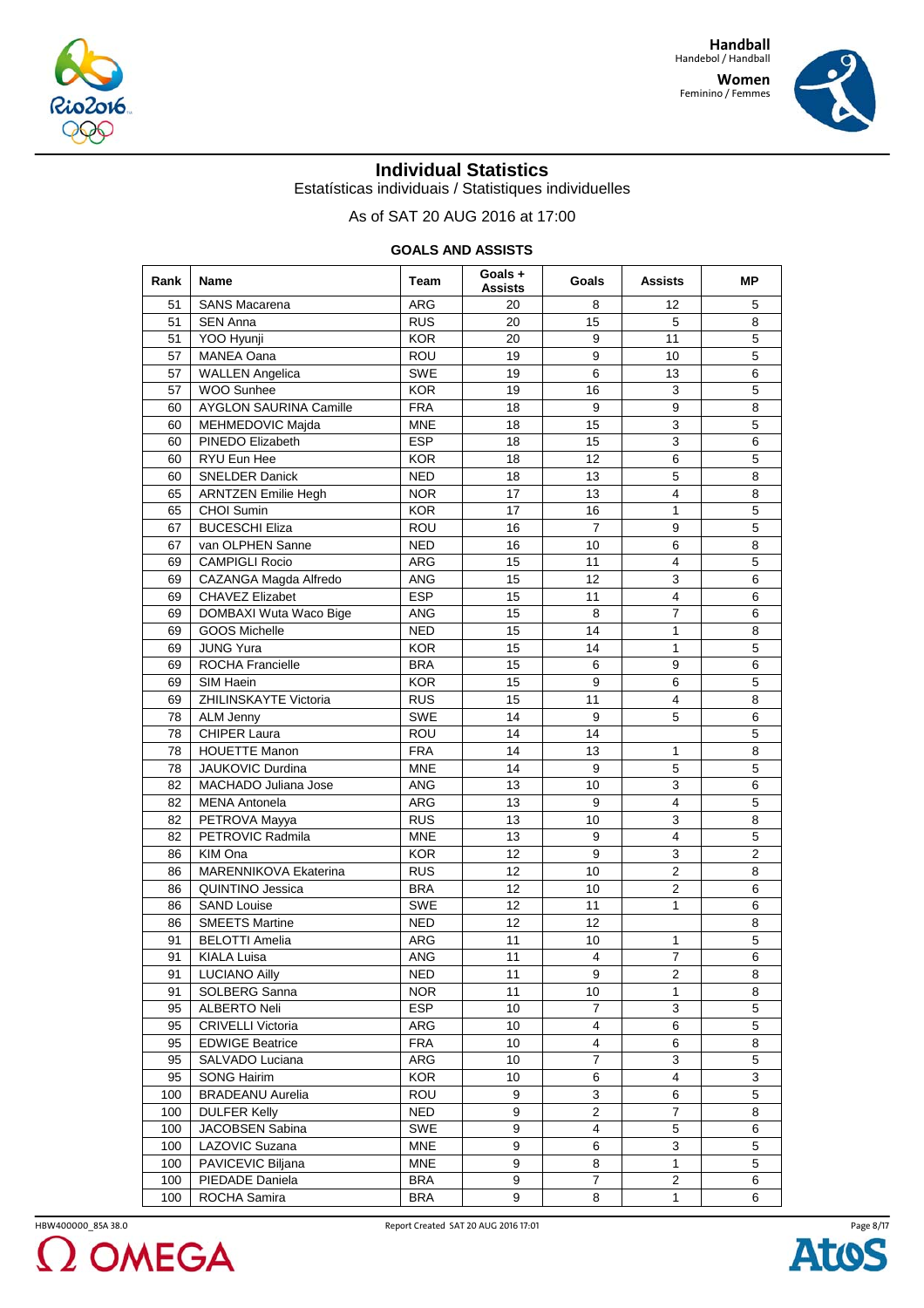



## **Individual Statistics**

Estatísticas individuais / Statistiques individuelles

As of SAT 20 AUG 2016 at 17:00

| Rank | <b>Name</b>                | Team       | Goals+<br>Assists | Goals          | Assists                 | МP             |
|------|----------------------------|------------|-------------------|----------------|-------------------------|----------------|
| 51   | <b>SANS Macarena</b>       | ARG        | 20                | 8              | 12                      | 5              |
| 51   | <b>SEN Anna</b>            | <b>RUS</b> | 20                | 15             | 5                       | 8              |
| 51   | YOO Hyunji                 | <b>KOR</b> | 20                | 9              | 11                      | 5              |
| 57   | <b>MANEA Oana</b>          | ROU        | 19                | 9              | 10                      | 5              |
| 57   | <b>WALLEN Angelica</b>     | <b>SWE</b> | 19                | 6              | 13                      | 6              |
| 57   | WOO Sunhee                 | <b>KOR</b> | 19                | 16             | 3                       | 5              |
| 60   | AYGLON SAURINA Camille     | <b>FRA</b> | 18                | 9              | 9                       | 8              |
| 60   | MEHMEDOVIC Majda           | <b>MNE</b> | 18                | 15             | 3                       | 5              |
| 60   | PINEDO Elizabeth           | <b>ESP</b> | 18                | 15             | 3                       | 6              |
| 60   | RYU Eun Hee                | <b>KOR</b> | 18                | 12             | 6                       | 5              |
| 60   | <b>SNELDER Danick</b>      | <b>NED</b> | 18                | 13             | 5                       | 8              |
| 65   | <b>ARNTZEN Emilie Hegh</b> | <b>NOR</b> | 17                | 13             | 4                       | 8              |
| 65   | <b>CHOI Sumin</b>          | <b>KOR</b> | 17                | 16             | $\mathbf{1}$            | 5              |
| 67   | <b>BUCESCHI Eliza</b>      | ROU        | 16                | $\overline{7}$ | 9                       | 5              |
| 67   | van OLPHEN Sanne           | <b>NED</b> | 16                | 10             | 6                       | 8              |
| 69   | <b>CAMPIGLI Rocio</b>      | <b>ARG</b> | 15                | 11             | 4                       | $\mathbf 5$    |
| 69   | CAZANGA Magda Alfredo      | <b>ANG</b> | 15                | 12             | 3                       | 6              |
| 69   | <b>CHAVEZ Elizabet</b>     | <b>ESP</b> | 15                | 11             | 4                       | 6              |
| 69   | DOMBAXI Wuta Waco Bige     | ANG        | 15                | 8              | $\overline{7}$          | 6              |
| 69   | <b>GOOS Michelle</b>       | <b>NED</b> | 15                | 14             | $\mathbf{1}$            | 8              |
| 69   | <b>JUNG Yura</b>           | <b>KOR</b> | 15                | 14             | $\mathbf{1}$            | 5              |
| 69   | <b>ROCHA Francielle</b>    | <b>BRA</b> | 15                | 6              | 9                       | 6              |
| 69   | SIM Haein                  | <b>KOR</b> | 15                | 9              | 6                       | 5              |
| 69   | ZHILINSKAYTE Victoria      | <b>RUS</b> | 15                | 11             | $\overline{4}$          | 8              |
| 78   | <b>ALM Jenny</b>           | <b>SWE</b> | 14                | 9              | 5                       | 6              |
| 78   | <b>CHIPER Laura</b>        | <b>ROU</b> | 14                | 14             |                         | 5              |
| 78   | <b>HOUETTE Manon</b>       | <b>FRA</b> | 14                | 13             | $\mathbf{1}$            | 8              |
| 78   | <b>JAUKOVIC Durdina</b>    | <b>MNE</b> | 14                | 9              | 5                       | 5              |
| 82   | MACHADO Juliana Jose       | <b>ANG</b> | 13                | 10             | 3                       | 6              |
| 82   | <b>MENA Antonela</b>       | ARG        | 13                | 9              | 4                       | 5              |
| 82   | PETROVA Mayya              | <b>RUS</b> | 13                | 10             | 3                       | 8              |
| 82   | PETROVIC Radmila           | <b>MNE</b> | 13                | 9              | $\overline{4}$          | 5              |
| 86   | KIM Ona                    | <b>KOR</b> | 12                | 9              | 3                       | $\overline{2}$ |
| 86   | MARENNIKOVA Ekaterina      | <b>RUS</b> | 12                | 10             | $\overline{2}$          | 8              |
| 86   | QUINTINO Jessica           | <b>BRA</b> | 12                | 10             | $\overline{2}$          | 6              |
| 86   | <b>SAND Louise</b>         | <b>SWE</b> | 12                | 11             | $\mathbf{1}$            | 6              |
| 86   | <b>SMEETS Martine</b>      | <b>NED</b> | 12                | 12             |                         | 8              |
| 91   | <b>BELOTTI Amelia</b>      | ARG        | 11                | 10             | 1                       | 5              |
| 91   | <b>KIALA Luisa</b>         | <b>ANG</b> | 11                | 4              | $\overline{7}$          | 6              |
| 91   | <b>LUCIANO Ailly</b>       | <b>NED</b> | 11                | 9              | 2                       | 8              |
| 91   | SOLBERG Sanna              | <b>NOR</b> | 11                | 10             | $\mathbf{1}$            | 8              |
| 95   | <b>ALBERTO Neli</b>        | <b>ESP</b> | 10                | $\overline{7}$ | 3                       | 5              |
| 95   | <b>CRIVELLI Victoria</b>   | ARG        | 10                | 4              | 6                       | 5              |
| 95   | <b>EDWIGE Beatrice</b>     | <b>FRA</b> | 10                | 4              | 6                       | 8              |
| 95   | SALVADO Luciana            | ARG        | 10                | 7              | 3                       | 5              |
| 95   | <b>SONG Hairim</b>         | <b>KOR</b> | 10                | 6              | $\overline{4}$          | 3              |
| 100  | <b>BRADEANU Aurelia</b>    | ROU        | 9                 | 3              | 6                       | 5              |
| 100  | <b>DULFER Kelly</b>        | <b>NED</b> | 9                 | $\overline{2}$ | 7                       | 8              |
| 100  | JACOBSEN Sabina            | SWE        | 9                 | $\overline{4}$ | 5                       | 6              |
| 100  | LAZOVIC Suzana             | <b>MNE</b> | 9                 | 6              | 3                       | 5              |
| 100  | PAVICEVIC Biljana          | <b>MNE</b> | 9                 | 8              | 1                       | 5              |
| 100  | PIEDADE Daniela            | <b>BRA</b> | 9                 | 7              | $\overline{\mathbf{c}}$ | 6              |
| 100  | ROCHA Samira               | <b>BRA</b> | 9                 | 8              | $\mathbf{1}$            | 6              |



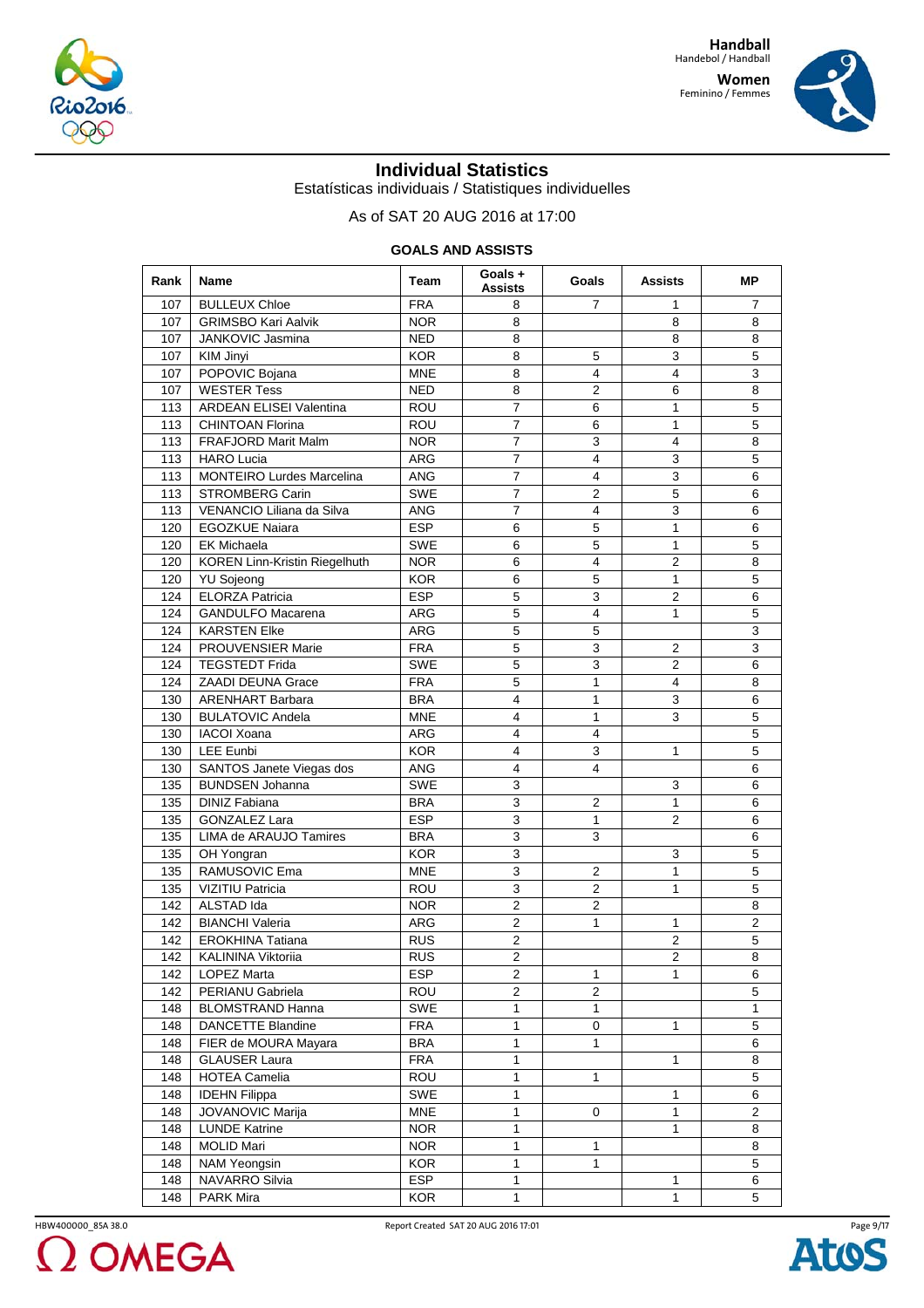



## **Individual Statistics**

Estatísticas individuais / Statistiques individuelles

As of SAT 20 AUG 2016 at 17:00

| Rank | <b>Name</b>                          | Team       | Goals+<br>Assists | Goals          | Assists        | MР             |
|------|--------------------------------------|------------|-------------------|----------------|----------------|----------------|
| 107  | <b>BULLEUX Chloe</b>                 | <b>FRA</b> | 8                 | 7              | 1              | 7              |
| 107  | <b>GRIMSBO Kari Aalvik</b>           | <b>NOR</b> | 8                 |                | 8              | 8              |
| 107  | JANKOVIC Jasmina                     | <b>NED</b> | 8                 |                | 8              | 8              |
| 107  | KIM Jinyi                            | <b>KOR</b> | 8                 | 5              | 3              | 5              |
| 107  | POPOVIC Bojana                       | <b>MNE</b> | 8                 | 4              | 4              | 3              |
| 107  | <b>WESTER Tess</b>                   | <b>NED</b> | 8                 | $\overline{2}$ | 6              | 8              |
| 113  | <b>ARDEAN ELISEI Valentina</b>       | ROU        | $\overline{7}$    | 6              | $\mathbf{1}$   | 5              |
| 113  | <b>CHINTOAN Florina</b>              | <b>ROU</b> | 7                 | 6              | $\mathbf{1}$   | 5              |
| 113  | <b>FRAFJORD Marit Malm</b>           | <b>NOR</b> | $\overline{7}$    | 3              | 4              | 8              |
| 113  | <b>HARO Lucia</b>                    | ARG        | $\overline{7}$    | $\overline{4}$ | 3              | 5              |
| 113  | <b>MONTEIRO Lurdes Marcelina</b>     | <b>ANG</b> | $\overline{7}$    | 4              | 3              | 6              |
| 113  | <b>STROMBERG Carin</b>               | <b>SWE</b> | 7                 | $\overline{2}$ | 5              | 6              |
| 113  | VENANCIO Liliana da Silva            | <b>ANG</b> | 7                 | 4              | 3              | 6              |
| 120  | <b>EGOZKUE Naiara</b>                | <b>ESP</b> | 6                 | 5              | 1              | 6              |
| 120  | <b>EK Michaela</b>                   | <b>SWE</b> | 6                 | 5              | $\mathbf{1}$   | 5              |
| 120  | <b>KOREN Linn-Kristin Riegelhuth</b> | <b>NOR</b> | 6                 | 4              | 2              | 8              |
| 120  | <b>YU Sojeong</b>                    | <b>KOR</b> | 6                 | 5              | $\mathbf{1}$   | 5              |
| 124  | <b>ELORZA Patricia</b>               | <b>ESP</b> | 5                 | 3              | $\overline{2}$ | 6              |
| 124  | <b>GANDULFO Macarena</b>             | ARG        | 5                 | 4              | 1              | 5              |
| 124  | <b>KARSTEN Elke</b>                  | <b>ARG</b> | 5                 | 5              |                | 3              |
| 124  | <b>PROUVENSIER Marie</b>             | <b>FRA</b> | 5                 | 3              | $\overline{2}$ | 3              |
| 124  | <b>TEGSTEDT Frida</b>                | <b>SWE</b> | 5                 | 3              | $\overline{2}$ | 6              |
| 124  | <b>ZAADI DEUNA Grace</b>             | <b>FRA</b> | 5                 | $\mathbf{1}$   | $\overline{4}$ | 8              |
| 130  | <b>ARENHART Barbara</b>              | <b>BRA</b> | 4                 | 1              | 3              | 6              |
| 130  | <b>BULATOVIC Andela</b>              | <b>MNE</b> | 4                 | 1              | 3              | 5              |
| 130  | <b>IACOI</b> Xoana                   | <b>ARG</b> | 4                 | $\overline{4}$ |                | 5              |
| 130  | LEE Eunbi                            | <b>KOR</b> | 4                 | 3              | 1              | 5              |
| 130  | SANTOS Janete Viegas dos             | <b>ANG</b> | 4                 | 4              |                | 6              |
| 135  | <b>BUNDSEN Johanna</b>               | <b>SWE</b> | 3                 |                | 3              | 6              |
| 135  | <b>DINIZ Fabiana</b>                 | <b>BRA</b> | 3                 | $\overline{2}$ | $\mathbf{1}$   | 6              |
| 135  | <b>GONZALEZ Lara</b>                 | <b>ESP</b> | 3                 | 1              | $\overline{2}$ | 6              |
| 135  | LIMA de ARAUJO Tamires               | <b>BRA</b> | 3                 | 3              |                | 6              |
| 135  | OH Yongran                           | <b>KOR</b> | 3                 |                | 3              | 5              |
| 135  | RAMUSOVIC Ema                        | <b>MNE</b> | 3                 | 2              | 1              | 5              |
| 135  | <b>VIZITIU Patricia</b>              | <b>ROU</b> | 3                 | $\overline{2}$ | 1              | 5              |
| 142  | ALSTAD Ida                           | <b>NOR</b> | $\overline{c}$    | $\overline{2}$ |                | 8              |
| 142  | <b>BIANCHI Valeria</b>               | ARG        | $\overline{2}$    | $\mathbf{1}$   | $\mathbf{1}$   | $\overline{2}$ |
| 142  | <b>EROKHINA Tatiana</b>              | <b>RUS</b> | $\overline{2}$    |                | $\overline{2}$ | 5              |
| 142  | <b>KALININA Viktorija</b>            | <b>RUS</b> | $\overline{2}$    |                | $\overline{2}$ | 8              |
| 142  | <b>LOPEZ Marta</b>                   | <b>ESP</b> | $\overline{c}$    | 1              | 1              | 6              |
| 142  | PERIANU Gabriela                     | ROU        | $\overline{2}$    | $\overline{2}$ |                | 5              |
| 148  | <b>BLOMSTRAND Hanna</b>              | SWE        | $\mathbf{1}$      | $\mathbf{1}$   |                | 1              |
| 148  | DANCETTE Blandine                    | <b>FRA</b> | $\mathbf{1}$      | $\mathbf 0$    | 1              | 5              |
| 148  | FIER de MOURA Mayara                 | <b>BRA</b> | 1                 | 1              |                | 6              |
| 148  | <b>GLAUSER Laura</b>                 | <b>FRA</b> | 1                 |                | 1              | 8              |
| 148  | <b>HOTEA Camelia</b>                 | ROU        | 1                 | 1              |                | 5              |
| 148  | <b>IDEHN Filippa</b>                 | SWE        | 1                 |                | $\mathbf{1}$   | 6              |
| 148  | JOVANOVIC Marija                     | <b>MNE</b> | $\mathbf{1}$      |                |                | 2              |
| 148  | <b>LUNDE Katrine</b>                 | <b>NOR</b> | 1                 | 0              | 1<br>1         | 8              |
| 148  | <b>MOLID Mari</b>                    | <b>NOR</b> | $\mathbf{1}$      | $\mathbf{1}$   |                | 8              |
| 148  | NAM Yeongsin                         | <b>KOR</b> | 1                 | 1              |                | 5              |
| 148  | NAVARRO Silvia                       | <b>ESP</b> |                   |                | $\mathbf{1}$   |                |
| 148  | PARK Mira                            | <b>KOR</b> | 1<br>$\mathbf{1}$ |                | 1              | 6<br>5         |
|      |                                      |            |                   |                |                |                |



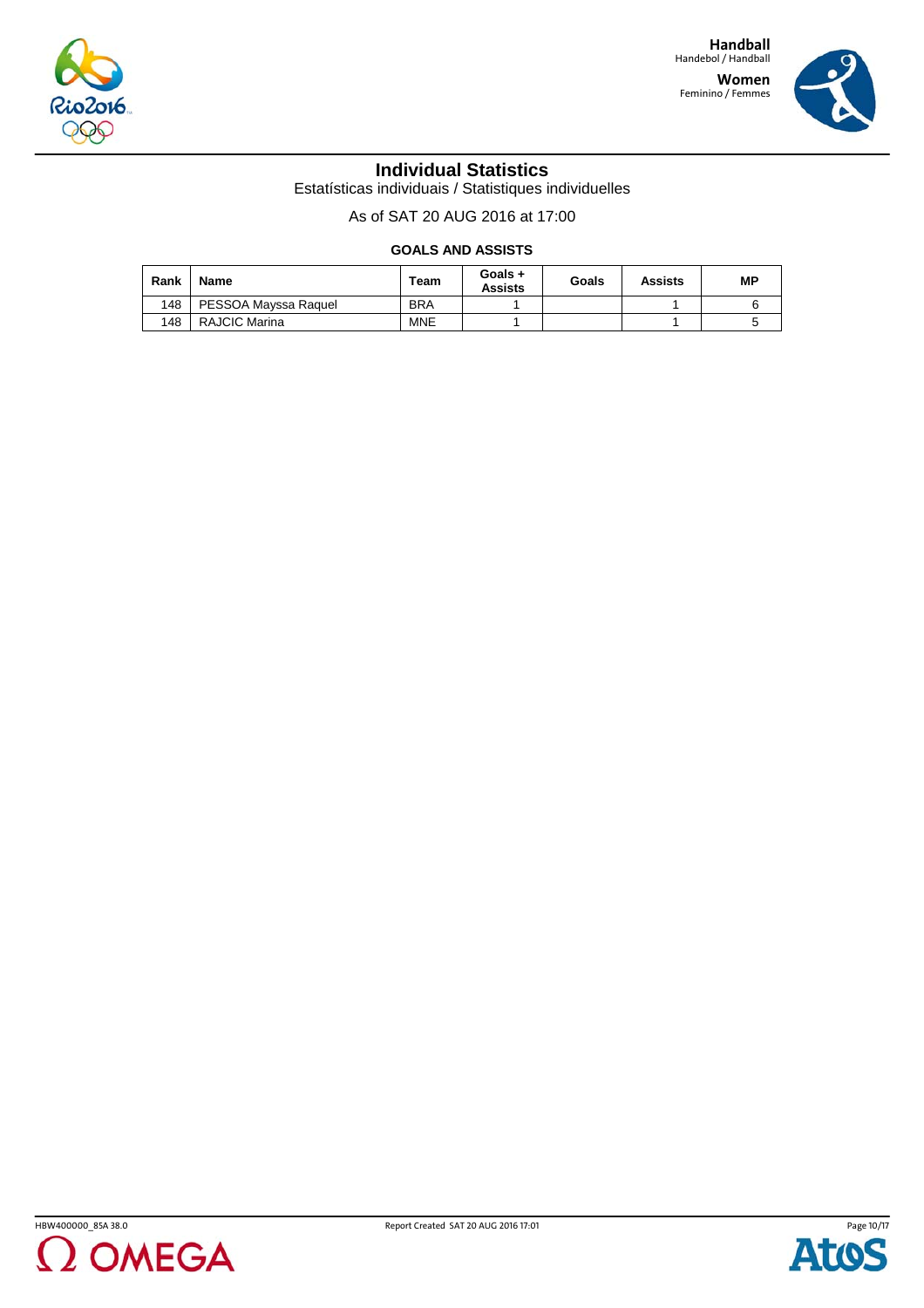



## **Individual Statistics**

Estatísticas individuais / Statistiques individuelles

As of SAT 20 AUG 2016 at 17:00

| Rank | <b>Name</b>          | Team       | Goals +<br><b>Assists</b> | Goals | Assists | <b>MP</b> |
|------|----------------------|------------|---------------------------|-------|---------|-----------|
| 148  | PESSOA Mayssa Raquel | <b>BRA</b> |                           |       |         |           |
| 148  | RAJCIC Marina        | <b>MNE</b> |                           |       |         |           |



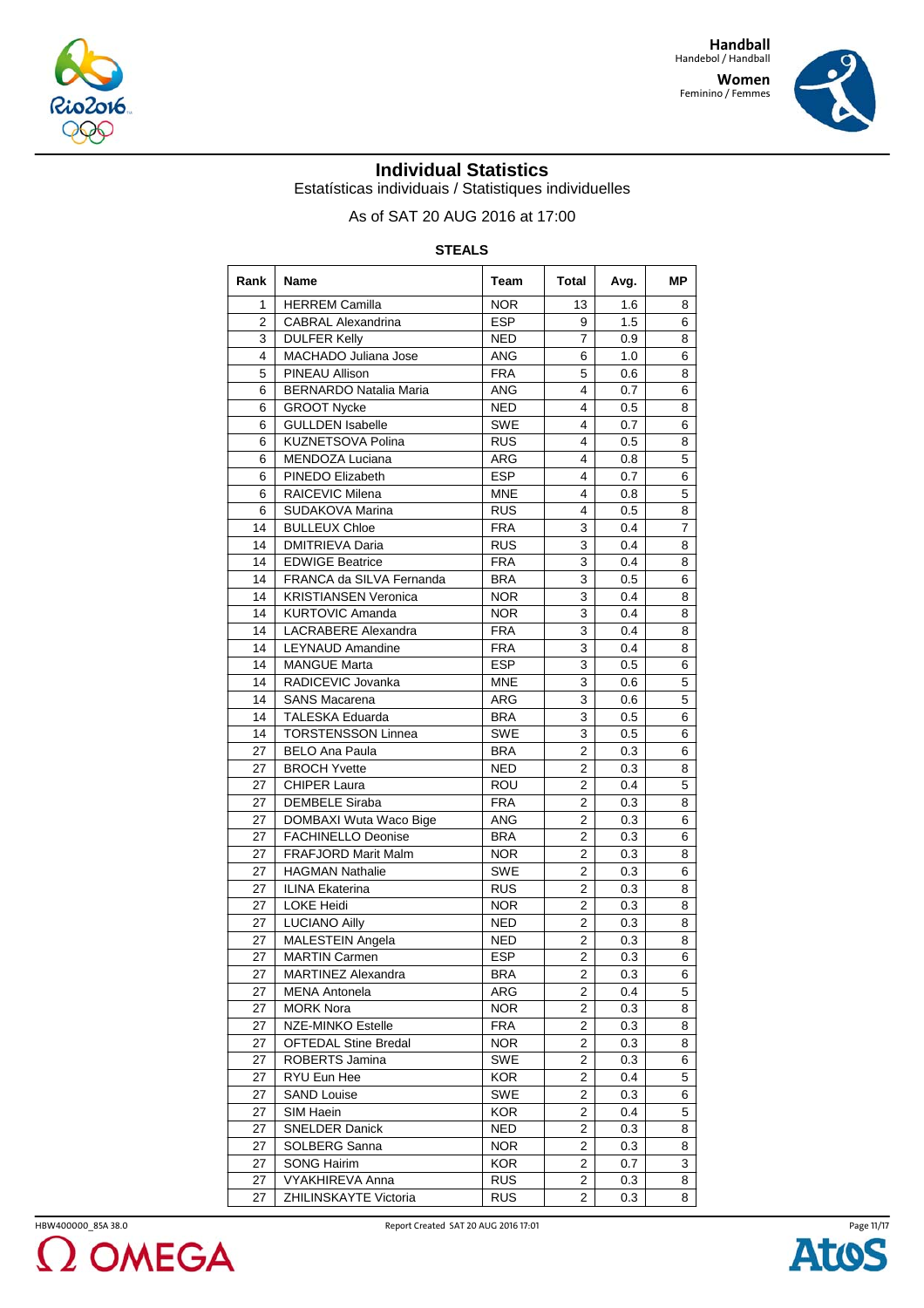



## **Individual Statistics**

Estatísticas individuais / Statistiques individuelles

# As of SAT 20 AUG 2016 at 17:00

## **STEALS**

| Rank           | <b>Name</b>                   | Team       | <b>Total</b>   | Avg. | МP |
|----------------|-------------------------------|------------|----------------|------|----|
| 1              | <b>HERREM Camilla</b>         | <b>NOR</b> | 13             | 1.6  | 8  |
| $\overline{2}$ | <b>CABRAL Alexandrina</b>     | <b>ESP</b> | 9              | 1.5  | 6  |
| 3              | <b>DULFER Kelly</b>           | NED        | 7              | 0.9  | 8  |
| 4              | MACHADO Juliana Jose          | <b>ANG</b> | 6              | 1.0  | 6  |
| 5              | PINEAU Allison                | <b>FRA</b> | 5              | 0.6  | 8  |
| 6              | <b>BERNARDO Natalia Maria</b> | <b>ANG</b> | 4              | 0.7  | 6  |
| 6              | <b>GROOT Nycke</b>            | <b>NED</b> | 4              | 0.5  | 8  |
| 6              | <b>GULLDEN Isabelle</b>       | <b>SWE</b> | 4              | 0.7  | 6  |
| 6              | KUZNETSOVA Polina             | <b>RUS</b> | 4              | 0.5  | 8  |
| 6              | MENDOZA Luciana               | ARG        | 4              | 0.8  | 5  |
| 6              | PINEDO Elizabeth              | <b>ESP</b> | 4              | 0.7  | 6  |
| 6              | RAICEVIC Milena               | <b>MNE</b> | 4              | 0.8  | 5  |
| 6              | SUDAKOVA Marina               | <b>RUS</b> | 4              | 0.5  | 8  |
| 14             | <b>BULLEUX Chloe</b>          | <b>FRA</b> | 3              | 0.4  | 7  |
| 14             | <b>DMITRIEVA Daria</b>        | <b>RUS</b> | 3              | 0.4  | 8  |
| 14             | <b>EDWIGE Beatrice</b>        | <b>FRA</b> | 3              | 0.4  | 8  |
| 14             | FRANCA da SILVA Fernanda      | <b>BRA</b> | 3              | 0.5  | 6  |
| 14             | <b>KRISTIANSEN Veronica</b>   | <b>NOR</b> | 3              | 0.4  | 8  |
| 14             | <b>KURTOVIC Amanda</b>        | <b>NOR</b> | 3              | 0.4  | 8  |
| 14             | LACRABERE Alexandra           | <b>FRA</b> | 3              | 0.4  | 8  |
| 14             | <b>LEYNAUD Amandine</b>       | <b>FRA</b> | 3              | 0.4  | 8  |
| 14             | <b>MANGUE Marta</b>           | <b>ESP</b> | 3              | 0.5  | 6  |
| 14             | RADICEVIC Jovanka             | <b>MNE</b> | 3              | 0.6  | 5  |
| 14             | <b>SANS Macarena</b>          | <b>ARG</b> | 3              | 0.6  | 5  |
| 14             | <b>TALESKA Eduarda</b>        | <b>BRA</b> | 3              | 0.5  | 6  |
| 14             | <b>TORSTENSSON Linnea</b>     | <b>SWE</b> | 3              | 0.5  | 6  |
| 27             | BELO Ana Paula                | <b>BRA</b> | $\overline{2}$ | 0.3  | 6  |
| 27             | <b>BROCH Yvette</b>           | <b>NED</b> | 2              | 0.3  | 8  |
| 27             | CHIPER Laura                  | <b>ROU</b> | $\overline{2}$ | 0.4  | 5  |
| 27             | <b>DEMBELE Siraba</b>         | <b>FRA</b> | $\overline{2}$ | 0.3  | 8  |
| 27             | DOMBAXI Wuta Waco Bige        | <b>ANG</b> | $\overline{2}$ | 0.3  | 6  |
| 27             | <b>FACHINELLO Deonise</b>     | <b>BRA</b> | 2              | 0.3  | 6  |
| 27             | <b>FRAFJORD Marit Malm</b>    | <b>NOR</b> | 2              | 0.3  | 8  |
| 27             | <b>HAGMAN Nathalie</b>        | SWE        | $\overline{2}$ | 0.3  | 6  |
| 27             | <b>ILINA Ekaterina</b>        | <b>RUS</b> | 2              | 0.3  | 8  |
| 27             | <b>LOKE Heidi</b>             | <b>NOR</b> | $\overline{2}$ | 0.3  | 8  |
| 27             | <b>LUCIANO Ailly</b>          | <b>NED</b> | $\overline{2}$ | 0.3  | 8  |
| 27             | MALESTEIN Angela              | <b>NED</b> | 2              | 0.3  | 8  |
| 27             | <b>MARTIN Carmen</b>          | <b>ESP</b> | $\overline{2}$ | 0.3  | 6  |
| 27             | <b>MARTINEZ Alexandra</b>     | <b>BRA</b> | 2              | 0.3  | 6  |
| 27             | <b>MENA Antonela</b>          | ARG        | $\overline{2}$ | 0.4  | 5  |
| 27             | <b>MORK Nora</b>              | NOR.       | 2              | 0.3  | 8  |
| 27             | NZE-MINKO Estelle             | FRA        | 2              | 0.3  | 8  |
| 27             | <b>OFTEDAL Stine Bredal</b>   | <b>NOR</b> | 2              | 0.3  | 8  |
| 27             | ROBERTS Jamina                | <b>SWE</b> | 2              | 0.3  | 6  |
| 27             | RYU Eun Hee                   | <b>KOR</b> | 2              | 0.4  | 5  |
| 27             | <b>SAND Louise</b>            | <b>SWE</b> | 2              | 0.3  | 6  |
| 27             | SIM Haein                     | <b>KOR</b> | 2              | 0.4  | 5  |
| 27             | SNELDER Danick                | <b>NED</b> | 2              | 0.3  | 8  |
| 27             | SOLBERG Sanna                 | <b>NOR</b> | 2              | 0.3  | 8  |
| 27             | <b>SONG Hairim</b>            | KOR.       | 2              | 0.7  | 3  |
| 27             | VYAKHIREVA Anna               | <b>RUS</b> | 2              | 0.3  | 8  |
| 27             | ZHILINSKAYTE Victoria         | <b>RUS</b> | 2              | 0.3  | 8  |



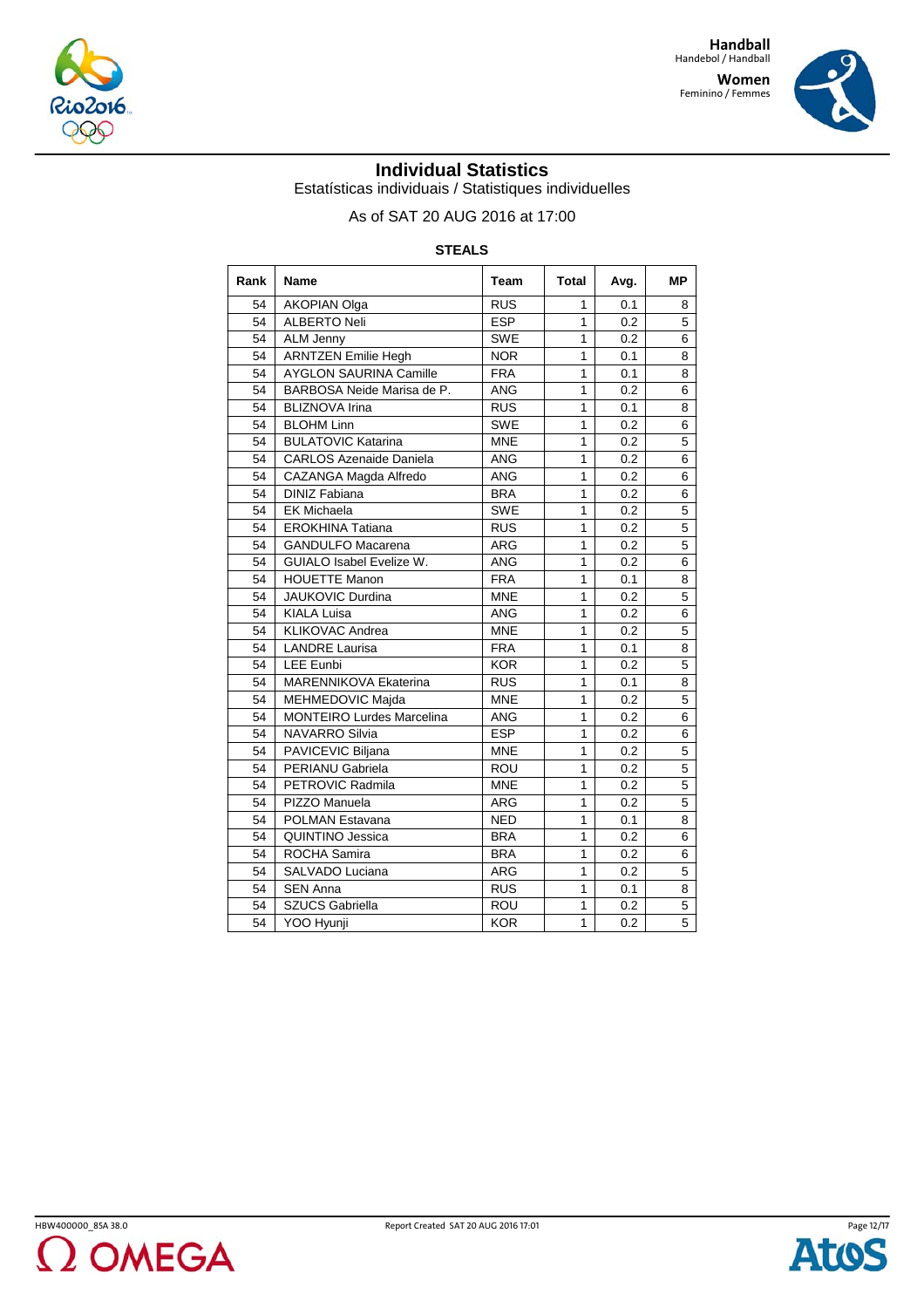



## **Individual Statistics**

Estatísticas individuais / Statistiques individuelles

# As of SAT 20 AUG 2016 at 17:00

## **STEALS**

| Rank | Name                           | Team       | <b>Total</b>   | Avg. | <b>MP</b> |
|------|--------------------------------|------------|----------------|------|-----------|
| 54   | AKOPIAN Olga                   | <b>RUS</b> | 1              | 0.1  | 8         |
| 54   | <b>ALBERTO Neli</b>            | <b>ESP</b> | 1              | 0.2  | 5         |
| 54   | <b>ALM Jenny</b>               | <b>SWE</b> | $\mathbf{1}$   | 0.2  | 6         |
| 54   | <b>ARNTZEN Emilie Hegh</b>     | <b>NOR</b> | 1              | 0.1  | 8         |
| 54   | <b>AYGLON SAURINA Camille</b>  | <b>FRA</b> | 1              | 0.1  | 8         |
| 54   | BARBOSA Neide Marisa de P.     | <b>ANG</b> | 1              | 0.2  | 6         |
| 54   | <b>BLIZNOVA Irina</b>          | <b>RUS</b> | 1              | 0.1  | 8         |
| 54   | <b>BLOHM Linn</b>              | <b>SWE</b> | 1              | 0.2  | 6         |
| 54   | <b>BULATOVIC Katarina</b>      | <b>MNE</b> | 1              | 0.2  | 5         |
| 54   | <b>CARLOS Azenaide Daniela</b> | <b>ANG</b> | 1              | 0.2  | 6         |
| 54   | CAZANGA Magda Alfredo          | <b>ANG</b> | $\mathbf{1}$   | 0.2  | 6         |
| 54   | <b>DINIZ Fabiana</b>           | <b>BRA</b> | 1              | 0.2  | 6         |
| 54   | <b>EK Michaela</b>             | <b>SWE</b> | $\overline{1}$ | 0.2  | 5         |
| 54   | <b>EROKHINA Tatiana</b>        | <b>RUS</b> | 1              | 0.2  | 5         |
| 54   | <b>GANDULFO Macarena</b>       | ARG        | $\overline{1}$ | 0.2  | 5         |
| 54   | GUIALO Isabel Evelize W.       | <b>ANG</b> | $\mathbf{1}$   | 0.2  | 6         |
| 54   | <b>HOUETTE Manon</b>           | <b>FRA</b> | $\overline{1}$ | 0.1  | 8         |
| 54   | JAUKOVIC Durdina               | <b>MNE</b> | $\mathbf{1}$   | 0.2  | 5         |
| 54   | <b>KIALA Luisa</b>             | <b>ANG</b> | $\overline{1}$ | 0.2  | 6         |
| 54   | <b>KLIKOVAC Andrea</b>         | <b>MNE</b> | $\mathbf 1$    | 0.2  | 5         |
| 54   | <b>LANDRE Laurisa</b>          | <b>FRA</b> | $\mathbf{1}$   | 0.1  | 8         |
| 54   | <b>LEE Eunbi</b>               | <b>KOR</b> | $\mathbf 1$    | 0.2  | 5         |
| 54   | MARENNIKOVA Ekaterina          | <b>RUS</b> | $\mathbf{1}$   | 0.1  | 8         |
| 54   | MEHMEDOVIC Majda               | <b>MNE</b> | $\mathbf{1}$   | 0.2  | 5         |
| 54   | MONTEIRO Lurdes Marcelina      | <b>ANG</b> | 1              | 0.2  | 6         |
| 54   | <b>NAVARRO Silvia</b>          | <b>ESP</b> | $\mathbf{1}$   | 0.2  | 6         |
| 54   | PAVICEVIC Biljana              | <b>MNE</b> | 1              | 0.2  | 5         |
| 54   | PERIANU Gabriela               | <b>ROU</b> | $\mathbf 1$    | 0.2  | 5         |
| 54   | PETROVIC Radmila               | <b>MNE</b> | 1              | 0.2  | 5         |
| 54   | PIZZO Manuela                  | ARG        | $\mathbf 1$    | 0.2  | 5         |
| 54   | POLMAN Estavana                | <b>NED</b> | 1              | 0.1  | 8         |
| 54   | QUINTINO Jessica               | <b>BRA</b> | $\overline{1}$ | 0.2  | 6         |
| 54   | ROCHA Samira                   | <b>BRA</b> | $\mathbf{1}$   | 0.2  | 6         |
| 54   | SALVADO Luciana                | ARG        | $\overline{1}$ | 0.2  | 5         |
| 54   | <b>SEN Anna</b>                | <b>RUS</b> | 1              | 0.1  | 8         |
| 54   | <b>SZUCS Gabriella</b>         | <b>ROU</b> | $\mathbf 1$    | 0.2  | 5         |
| 54   | YOO Hyunji                     | <b>KOR</b> | $\overline{1}$ | 0.2  | 5         |

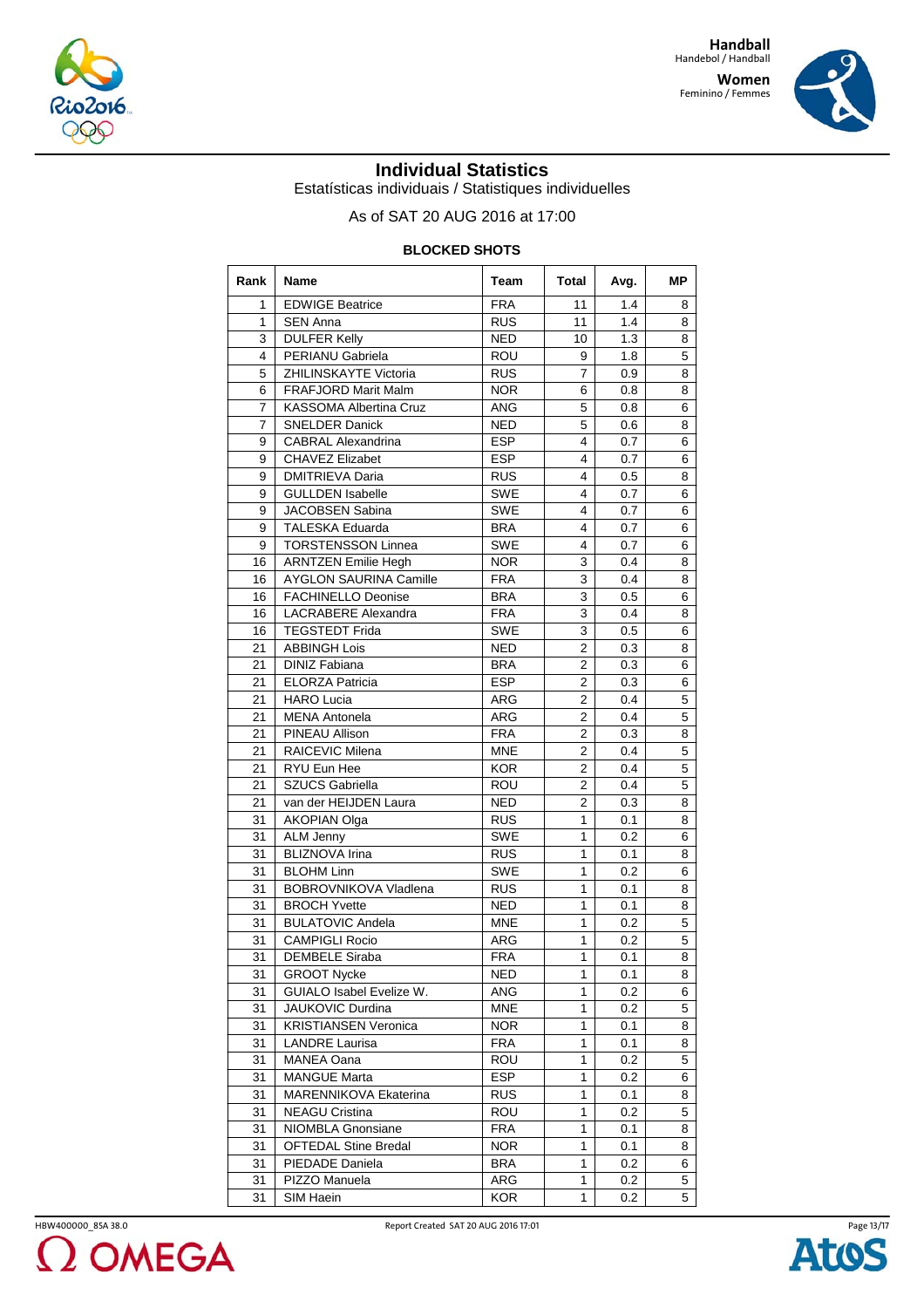



## **Individual Statistics**

Estatísticas individuais / Statistiques individuelles

## As of SAT 20 AUG 2016 at 17:00

### **BLOCKED SHOTS**

| Rank           | Name                         | Team       | <b>Total</b>   | Avg. | МP |
|----------------|------------------------------|------------|----------------|------|----|
| 1              | <b>EDWIGE Beatrice</b>       | <b>FRA</b> | 11             | 1.4  | 8  |
| $\mathbf{1}$   | <b>SEN Anna</b>              | <b>RUS</b> | 11             | 1.4  | 8  |
| 3              | <b>DULFER Kelly</b>          | <b>NED</b> | 10             | 1.3  | 8  |
| 4              | PERIANU Gabriela             | <b>ROU</b> | 9              | 1.8  | 5  |
| 5              | ZHILINSKAYTE Victoria        | <b>RUS</b> | 7              | 0.9  | 8  |
| 6              | FRAFJORD Marit Malm          | <b>NOR</b> | 6              | 0.8  | 8  |
| $\overline{7}$ | KASSOMA Albertina Cruz       | <b>ANG</b> | 5              | 0.8  | 6  |
| 7              | <b>SNELDER Danick</b>        | <b>NED</b> | 5              | 0.6  | 8  |
| 9              | <b>CABRAL Alexandrina</b>    | <b>ESP</b> | 4              | 0.7  | 6  |
| 9              | <b>CHAVEZ Elizabet</b>       | <b>ESP</b> | 4              | 0.7  | 6  |
| 9              | <b>DMITRIEVA Daria</b>       | <b>RUS</b> | 4              | 0.5  | 8  |
| 9              | <b>GULLDEN Isabelle</b>      | <b>SWE</b> | 4              | 0.7  | 6  |
| 9              | <b>JACOBSEN Sabina</b>       | SWE        | 4              | 0.7  | 6  |
| 9              | <b>TALESKA Eduarda</b>       | <b>BRA</b> | 4              | 0.7  | 6  |
| 9              | <b>TORSTENSSON Linnea</b>    | SWE        | 4              | 0.7  | 6  |
| 16             | <b>ARNTZEN Emilie Hegh</b>   | <b>NOR</b> | 3              | 0.4  | 8  |
| 16             | AYGLON SAURINA Camille       | <b>FRA</b> | 3              | 0.4  | 8  |
| 16             | <b>FACHINELLO Deonise</b>    | <b>BRA</b> | 3              | 0.5  | 6  |
| 16             | <b>LACRABERE Alexandra</b>   | <b>FRA</b> | 3              | 0.4  | 8  |
| 16             | <b>TEGSTEDT Frida</b>        | <b>SWE</b> | 3              | 0.5  | 6  |
| 21             | <b>ABBINGH Lois</b>          | <b>NED</b> | $\overline{2}$ | 0.3  | 8  |
| 21             | <b>DINIZ Fabiana</b>         | <b>BRA</b> | $\overline{2}$ | 0.3  | 6  |
| 21             | <b>ELORZA Patricia</b>       | <b>ESP</b> | $\overline{2}$ | 0.3  | 6  |
| 21             | <b>HARO Lucia</b>            | <b>ARG</b> | $\overline{2}$ | 0.4  | 5  |
| 21             | <b>MENA Antonela</b>         | ARG        | $\overline{2}$ | 0.4  | 5  |
| 21             | PINEAU Allison               | <b>FRA</b> | $\overline{2}$ | 0.3  | 8  |
| 21             | RAICEVIC Milena              | <b>MNE</b> | $\overline{2}$ | 0.4  | 5  |
| 21             | RYU Eun Hee                  | <b>KOR</b> | $\overline{2}$ | 0.4  | 5  |
| 21             | <b>SZUCS Gabriella</b>       | ROU        | $\overline{2}$ | 0.4  | 5  |
| 21             | van der HEIJDEN Laura        | <b>NED</b> | $\overline{2}$ | 0.3  | 8  |
| 31             | <b>AKOPIAN Olga</b>          | <b>RUS</b> | 1              | 0.1  | 8  |
| 31             | ALM Jenny                    | <b>SWE</b> | 1              | 0.2  | 6  |
| 31             | <b>BLIZNOVA Irina</b>        | <b>RUS</b> | 1              | 0.1  | 8  |
| 31             | <b>BLOHM Linn</b>            | <b>SWE</b> | 1              | 0.2  | 6  |
| 31             | <b>BOBROVNIKOVA Vladlena</b> | <b>RUS</b> | 1              | 0.1  | 8  |
| 31             | <b>BROCH Yvette</b>          | <b>NED</b> | 1              | 0.1  | 8  |
| 31             | <b>BULATOVIC Andela</b>      | <b>MNE</b> | $\mathbf{1}$   | 0.2  | 5  |
| 31             | <b>CAMPIGLI Rocio</b>        | <b>ARG</b> | 1              | 0.2  | 5  |
| 31             | <b>DEMBELE Siraba</b>        | <b>FRA</b> | $\mathbf{1}$   | 0.1  | 8  |
| 31             | <b>GROOT Nycke</b>           | <b>NED</b> | 1              | 0.1  | 8  |
| 31             | GUIALO Isabel Evelize W.     | <b>ANG</b> | 1              | 0.2  | 6  |
| 31             | JAUKOVIC Durdina             | <b>MNE</b> | 1              | 0.2  | 5  |
| 31             | <b>KRISTIANSEN Veronica</b>  | <b>NOR</b> | 1              | 0.1  | 8  |
| 31             | <b>LANDRE Laurisa</b>        | <b>FRA</b> | 1              | 0.1  | 8  |
| 31             | MANEA Oana                   | <b>ROU</b> | 1              | 0.2  | 5  |
| 31             | MANGUE Marta                 | <b>ESP</b> | 1              | 0.2  | 6  |
| 31             | MARENNIKOVA Ekaterina        | <b>RUS</b> | 1              | 0.1  | 8  |
| 31             | <b>NEAGU Cristina</b>        | ROU        | 1              | 0.2  | 5  |
| 31             | NIOMBLA Gnonsiane            | <b>FRA</b> | 1              | 0.1  | 8  |
| 31             | <b>OFTEDAL Stine Bredal</b>  | <b>NOR</b> | $\mathbf{1}$   | 0.1  | 8  |
| 31             | PIEDADE Daniela              | <b>BRA</b> | 1              | 0.2  | 6  |
| 31             | PIZZO Manuela                | ARG        | 1              | 0.2  | 5  |
| 31             | SIM Haein                    | <b>KOR</b> | 1              | 0.2  | 5  |

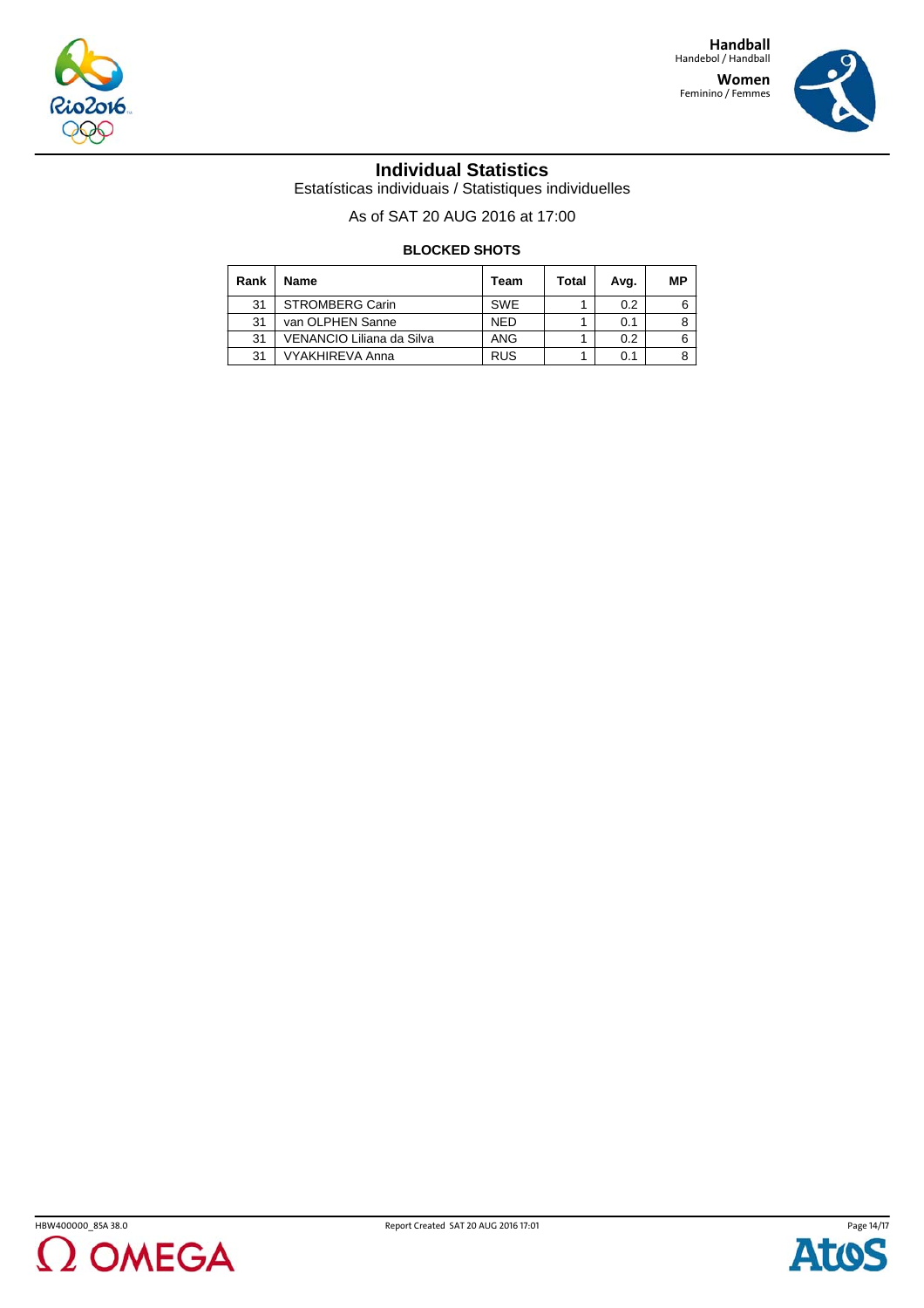



## **Individual Statistics**

Estatísticas individuais / Statistiques individuelles

As of SAT 20 AUG 2016 at 17:00

#### **BLOCKED SHOTS**

| Rank | <b>Name</b>               | Team       | Total | Avg. | МP |
|------|---------------------------|------------|-------|------|----|
| 31   | <b>STROMBERG Carin</b>    | <b>SWE</b> |       | 0.2  |    |
| 31   | van OLPHEN Sanne          | <b>NED</b> |       | 0.1  |    |
| 31   | VENANCIO Liliana da Silva | ANG        |       | 0.2  |    |
| 31   | VYAKHIREVA Anna           | <b>RUS</b> |       | 0.1  |    |



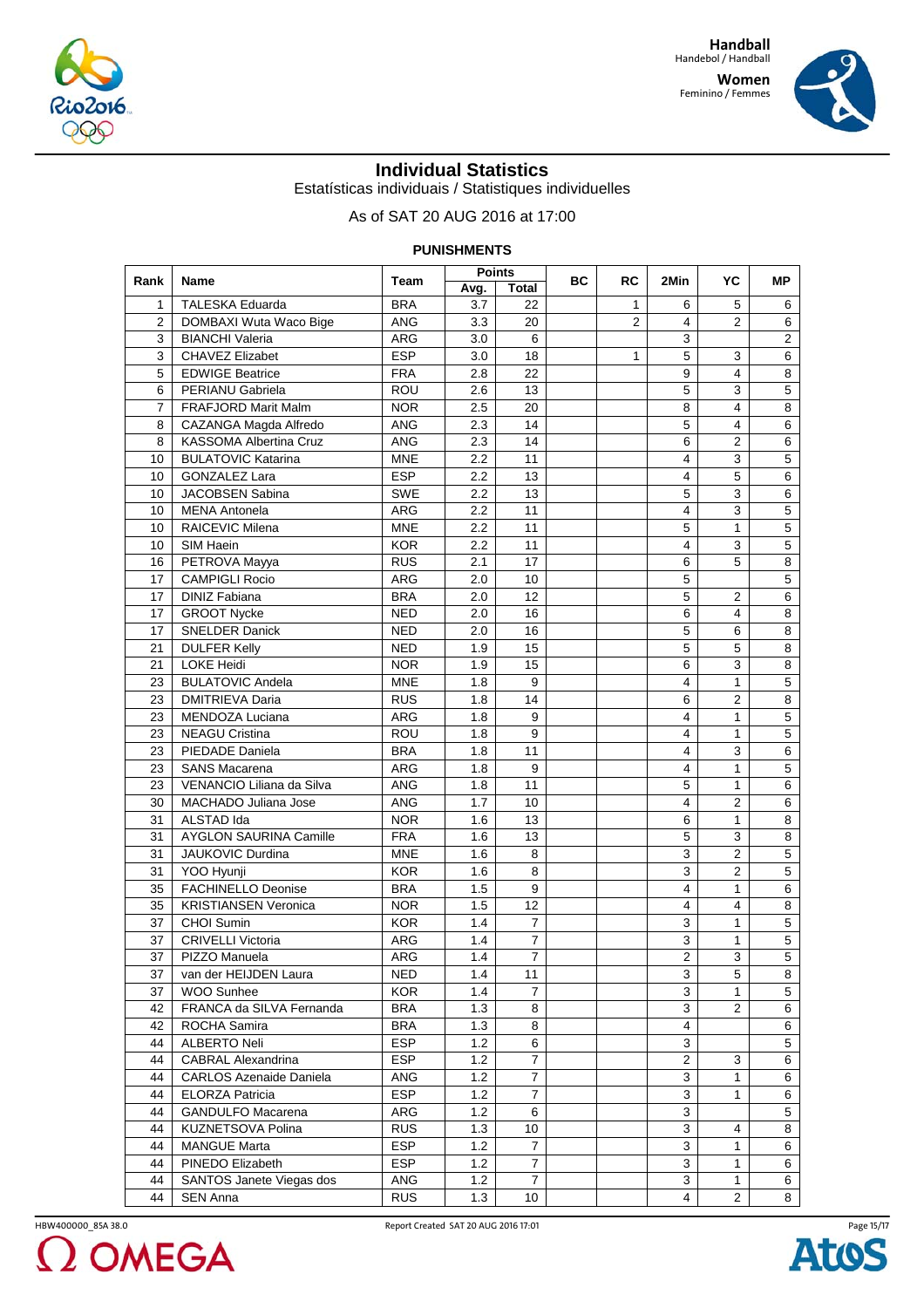



## **Individual Statistics**

Estatísticas individuais / Statistiques individuelles

As of SAT 20 AUG 2016 at 17:00

## **PUNISHMENTS**

| Rank           | Name                           | Team              | <b>Points</b> |                     | ВC<br><b>RC</b> | 2Min           | YC             | МP             |  |
|----------------|--------------------------------|-------------------|---------------|---------------------|-----------------|----------------|----------------|----------------|--|
|                |                                |                   | Avg.          | Total               |                 |                |                |                |  |
| 1              | TALESKA Eduarda                | <b>BRA</b>        | 3.7           | 22                  | 1               | 6              | 5              | 6              |  |
| $\overline{2}$ | DOMBAXI Wuta Waco Bige         | ANG               | 3.3           | 20                  | 2               | 4              | $\overline{2}$ | 6              |  |
| 3              | <b>BIANCHI Valeria</b>         | ARG               | 3.0           | 6                   |                 | 3              |                | $\overline{c}$ |  |
| 3              | CHAVEZ Elizabet                | <b>ESP</b>        | 3.0           | 18                  | 1               | 5              | 3              | 6              |  |
| 5              | <b>EDWIGE Beatrice</b>         | <b>FRA</b>        | 2.8           | 22                  |                 | 9              | 4              | 8              |  |
| 6              | PERIANU Gabriela               | <b>ROU</b>        | 2.6           | 13                  |                 | 5              | 3              | $\overline{5}$ |  |
| $\overline{7}$ | FRAFJORD Marit Malm            | <b>NOR</b>        | $2.5\,$       | 20                  |                 | 8              | 4              | 8              |  |
| 8              | CAZANGA Magda Alfredo          | ANG               | 2.3           | 14                  |                 | 5              | 4              | 6              |  |
| 8              | KASSOMA Albertina Cruz         | <b>ANG</b>        | 2.3           | 14                  |                 | $\,6$          | 2              | 6              |  |
| 10             | <b>BULATOVIC Katarina</b>      | <b>MNE</b>        | $2.2\,$       | 11                  |                 | 4              | 3              | 5              |  |
| 10             | <b>GONZALEZ Lara</b>           | <b>ESP</b>        | 2.2           | 13                  |                 | $\overline{4}$ | 5              | 6              |  |
| 10             | <b>JACOBSEN Sabina</b>         | SWE               | 2.2           | 13                  |                 | 5              | 3              | 6              |  |
| 10             | <b>MENA Antonela</b>           | ARG               | 2.2           | 11                  |                 | $\overline{4}$ | 3              | $\overline{5}$ |  |
| 10             | RAICEVIC Milena                | <b>MNE</b>        | 2.2           | 11                  |                 | 5              | $\mathbf{1}$   | $\overline{5}$ |  |
| 10             | SIM Haein                      | <b>KOR</b>        | 2.2           | 11                  |                 | 4              | 3              | 5              |  |
| 16             | PETROVA Mayya                  | <b>RUS</b>        | 2.1           | 17                  |                 | 6              | 5              | 8              |  |
| 17             | <b>CAMPIGLI Rocio</b>          | <b>ARG</b>        | 2.0           | 10                  |                 | 5              |                | 5              |  |
| 17             | <b>DINIZ Fabiana</b>           | <b>BRA</b>        | 2.0           | 12                  |                 | 5              | 2              | 6              |  |
| 17             | <b>GROOT Nycke</b>             | <b>NED</b>        | 2.0           | 16                  |                 | 6              | 4              | 8              |  |
| 17             | <b>SNELDER Danick</b>          | <b>NED</b>        | 2.0           | 16                  |                 | 5              | 6              | 8              |  |
| 21             | <b>DULFER Kelly</b>            | <b>NED</b>        | 1.9           | 15                  |                 | 5              | 5              | 8              |  |
| 21             | <b>LOKE Heidi</b>              | <b>NOR</b>        | 1.9           | 15                  |                 | 6              | 3              | 8              |  |
| 23             | <b>BULATOVIC Andela</b>        | <b>MNE</b>        | 1.8           | 9                   |                 | $\overline{4}$ | $\mathbf{1}$   | 5              |  |
| 23             | <b>DMITRIEVA Daria</b>         | <b>RUS</b>        | 1.8           | 14                  |                 | 6              | $\overline{2}$ | 8              |  |
| 23             | MENDOZA Luciana                | ARG               | 1.8           | 9                   |                 | 4              | 1              | $\overline{5}$ |  |
| 23             | <b>NEAGU Cristina</b>          | <b>ROU</b>        | 1.8           | 9                   |                 | 4              | 1              | $\overline{5}$ |  |
| 23             | PIEDADE Daniela                | <b>BRA</b>        | 1.8           | 11                  |                 | $\overline{4}$ | 3              | $\overline{6}$ |  |
| 23             | <b>SANS Macarena</b>           | ARG               | 1.8           | 9                   |                 | $\overline{4}$ | $\mathbf{1}$   | 5              |  |
| 23             | VENANCIO Liliana da Silva      | ANG               | 1.8           | 11                  |                 | 5              | $\mathbf{1}$   | 6              |  |
| 30             | MACHADO Juliana Jose           | <b>ANG</b>        | 1.7           | 10                  |                 | $\overline{4}$ | $\overline{2}$ | 6              |  |
| 31             | ALSTAD Ida                     | <b>NOR</b>        | 1.6           | 13                  |                 | 6              | 1              | 8              |  |
| 31             | <b>AYGLON SAURINA Camille</b>  | <b>FRA</b>        | 1.6           | 13                  |                 | 5              | 3              | 8              |  |
| 31             | JAUKOVIC Durdina               | <b>MNE</b>        | 1.6           | 8                   |                 | 3              | $\overline{2}$ | $\overline{5}$ |  |
| 31             | YOO Hyunji                     | <b>KOR</b>        | 1.6           | 8                   |                 | 3              | $\overline{2}$ | 5              |  |
| 35             | <b>FACHINELLO Deonise</b>      | <b>BRA</b>        | 1.5           | 9                   |                 | $\overline{4}$ | $\mathbf{1}$   | 6              |  |
| 35             | <b>KRISTIANSEN Veronica</b>    | <b>NOR</b>        | 1.5           | 12                  |                 | $\overline{4}$ | 4              | 8              |  |
| 37             | <b>CHOI Sumin</b>              | <b>KOR</b>        | 1.4           | 7                   |                 | 3              | 1              | $\overline{5}$ |  |
| 37             | <b>CRIVELLI Victoria</b>       | ARG               | 1.4           | $\overline{7}$      |                 | 3              | 1              | 5              |  |
| 37             | PIZZO Manuela                  | ARG               | 1.4           | $\overline{7}$      |                 | $\overline{2}$ | 3              | $\overline{5}$ |  |
| 37             | van der HEIJDEN Laura          | <b>NED</b>        | 1.4           | 11                  |                 | 3              | 5              | 8              |  |
| 37             | WOO Sunhee                     | <b>KOR</b>        | 1.4           | $\overline{7}$      |                 | 3              | $\mathbf{1}$   | 5              |  |
| 42             | FRANCA da SILVA Fernanda       | <b>BRA</b>        | 1.3           | 8                   |                 | 3              | 2              | 6              |  |
| 42             | ROCHA Samira                   | <b>BRA</b>        | 1.3           | 8                   |                 | $\overline{4}$ |                | 6              |  |
| 44             | <b>ALBERTO Neli</b>            | ESP               | 1.2           | 6                   |                 | 3              |                | 5              |  |
| 44             | <b>CABRAL Alexandrina</b>      | <b>ESP</b>        | 1.2           | 7                   |                 | 2              |                | 6              |  |
|                |                                |                   |               | $\overline{7}$      |                 | 3              | 3<br>1         |                |  |
| 44             | <b>CARLOS Azenaide Daniela</b> | ANG<br><b>ESP</b> | 1.2           | $\overline{7}$      |                 | 3              | $\mathbf{1}$   | 6              |  |
| 44             | <b>ELORZA Patricia</b>         |                   | 1.2           |                     |                 |                |                | 6              |  |
| 44             | GANDULFO Macarena              | ARG               | 1.2           | 6                   |                 | 3              |                | 5              |  |
| 44             | KUZNETSOVA Polina              | <b>RUS</b>        | 1.3           | 10                  |                 | 3              | 4              | 8              |  |
| 44<br>44       | <b>MANGUE Marta</b>            | ESP               | 1.2           | 7<br>$\overline{7}$ |                 | 3<br>3         | 1              | 6<br>6         |  |
|                | PINEDO Elizabeth               | ESP               | 1.2           | $\overline{7}$      |                 | 3              | 1              | 6              |  |
| 44             | SANTOS Janete Viegas dos       | ANG               | 1.2           |                     |                 |                | $\mathbf{1}$   |                |  |
| 44             | SEN Anna                       | <b>RUS</b>        | 1.3           | 10                  |                 | 4              | $\overline{2}$ | 8              |  |



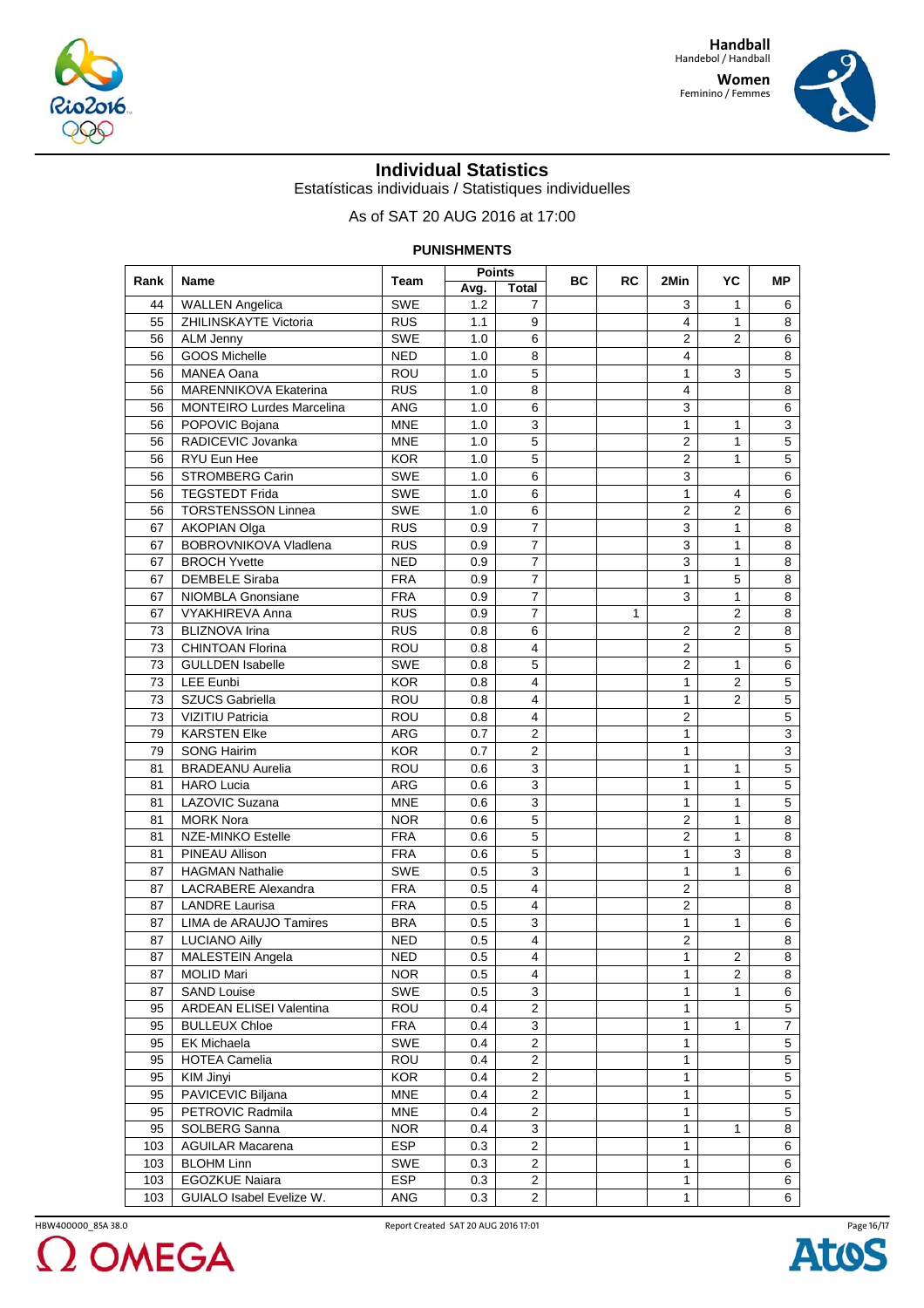



## **Individual Statistics**

Estatísticas individuais / Statistiques individuelles

As of SAT 20 AUG 2016 at 17:00

## **PUNISHMENTS**

| Rank | Name                       | Team       | <b>Points</b> |                | ВC<br><b>RC</b> | 2Min           | YC             | <b>MP</b>      |
|------|----------------------------|------------|---------------|----------------|-----------------|----------------|----------------|----------------|
|      |                            |            | Avg.          | <b>Total</b>   |                 |                |                |                |
| 44   | <b>WALLEN Angelica</b>     | <b>SWE</b> | 1.2           | 7              |                 | 3              | 1              | 6              |
| 55   | ZHILINSKAYTE Victoria      | <b>RUS</b> | 1.1           | 9              |                 | 4              | $\mathbf{1}$   | 8              |
| 56   | ALM Jenny                  | SWE        | 1.0           | 6              |                 | $\overline{2}$ | 2              | 6              |
| 56   | <b>GOOS Michelle</b>       | <b>NED</b> | 1.0           | 8              |                 | 4              |                | 8              |
| 56   | <b>MANEA Oana</b>          | ROU        | 1.0           | 5              |                 | 1              | 3              | 5              |
| 56   | MARENNIKOVA Ekaterina      | <b>RUS</b> | 1.0           | 8              |                 | $\overline{4}$ |                | $\bf 8$        |
| 56   | MONTEIRO Lurdes Marcelina  | <b>ANG</b> | 1.0           | 6              |                 | 3              |                | 6              |
| 56   | POPOVIC Bojana             | <b>MNE</b> | 1.0           | 3              |                 | 1              | 1              | 3              |
| 56   | RADICEVIC Jovanka          | <b>MNE</b> | 1.0           | 5              |                 | $\overline{2}$ | $\mathbf{1}$   | 5              |
| 56   | RYU Eun Hee                | <b>KOR</b> | 1.0           | 5              |                 | $\overline{2}$ | $\mathbf{1}$   | 5              |
| 56   | <b>STROMBERG Carin</b>     | <b>SWE</b> | 1.0           | 6              |                 | 3              |                | 6              |
| 56   | <b>TEGSTEDT Frida</b>      | <b>SWE</b> | 1.0           | 6              |                 | $\mathbf{1}$   | 4              | 6              |
| 56   | <b>TORSTENSSON Linnea</b>  | <b>SWE</b> | 1.0           | 6              |                 | $\overline{2}$ | $\overline{2}$ | 6              |
| 67   | AKOPIAN Olga               | <b>RUS</b> | 0.9           | $\overline{7}$ |                 | 3              | $\mathbf{1}$   | 8              |
| 67   | BOBROVNIKOVA Vladlena      | <b>RUS</b> | 0.9           | $\overline{7}$ |                 | 3              | $\mathbf{1}$   | 8              |
| 67   | <b>BROCH Yvette</b>        | <b>NED</b> | 0.9           | 7              |                 | 3              | $\mathbf{1}$   | 8              |
| 67   | <b>DEMBELE Siraba</b>      | <b>FRA</b> | 0.9           | 7              |                 | 1              | 5              | 8              |
| 67   | NIOMBLA Gnonsiane          | <b>FRA</b> | 0.9           | $\overline{7}$ |                 | 3              | $\mathbf{1}$   | 8              |
| 67   | <b>VYAKHIREVA Anna</b>     | <b>RUS</b> | 0.9           | $\overline{7}$ | 1               |                | $\overline{2}$ | $\,8\,$        |
| 73   | <b>BLIZNOVA Irina</b>      | <b>RUS</b> | 0.8           | 6              |                 | $\overline{2}$ | $\overline{2}$ | 8              |
| 73   | <b>CHINTOAN Florina</b>    | <b>ROU</b> | 0.8           | 4              |                 | $\overline{2}$ |                | 5              |
| 73   | <b>GULLDEN Isabelle</b>    | SWE        | $0.8\,$       | 5              |                 | $\overline{2}$ | $\mathbf{1}$   | 6              |
| 73   | <b>LEE Eunbi</b>           | <b>KOR</b> | 0.8           | 4              |                 | 1              | $\overline{2}$ | 5              |
| 73   | <b>SZUCS Gabriella</b>     | ROU        | 0.8           | 4              |                 | $\mathbf{1}$   | 2              | 5              |
| 73   | VIZITIU Patricia           | ROU        | 0.8           | 4              |                 | $\overline{2}$ |                | $\overline{5}$ |
| 79   | <b>KARSTEN Elke</b>        | <b>ARG</b> | 0.7           | $\overline{2}$ |                 | $\mathbf{1}$   |                | 3              |
| 79   | <b>SONG Hairim</b>         | <b>KOR</b> | 0.7           | $\overline{2}$ |                 | $\mathbf{1}$   |                | 3              |
| 81   | <b>BRADEANU Aurelia</b>    | ROU        | 0.6           | 3              |                 | $\mathbf{1}$   | $\mathbf{1}$   | 5              |
| 81   | <b>HARO Lucia</b>          | <b>ARG</b> | 0.6           | 3              |                 | $\mathbf{1}$   | $\mathbf{1}$   | 5              |
| 81   | LAZOVIC Suzana             | <b>MNE</b> | 0.6           | 3              |                 | 1              | 1              | 5              |
| 81   | <b>MORK Nora</b>           | <b>NOR</b> | 0.6           | 5              |                 | $\overline{2}$ | $\mathbf{1}$   | 8              |
| 81   | <b>NZE-MINKO Estelle</b>   | <b>FRA</b> | 0.6           | 5              |                 | $\overline{2}$ | 1              | 8              |
| 81   | PINEAU Allison             | <b>FRA</b> | 0.6           | 5              |                 | $\mathbf{1}$   | 3              | 8              |
| 87   | <b>HAGMAN Nathalie</b>     | SWE        | 0.5           | 3              |                 | 1              | 1              | 6              |
| 87   | <b>LACRABERE Alexandra</b> | <b>FRA</b> | 0.5           | 4              |                 | $\mathbf{2}$   |                | 8              |
| 87   | <b>LANDRE</b> Laurisa      | <b>FRA</b> | 0.5           | 4              |                 | $\overline{2}$ |                | 8              |
| 87   | LIMA de ARAUJO Tamires     | <b>BRA</b> | 0.5           | 3              |                 | $\mathbf{1}$   | $\mathbf{1}$   | 6              |
| 87   | <b>LUCIANO Ailly</b>       | <b>NED</b> | 0.5           | 4              |                 | $\overline{2}$ |                | 8              |
| 87   | <b>MALESTEIN Angela</b>    | <b>NED</b> | 0.5           | 4              |                 | 1              | $\overline{2}$ | 8              |
| 87   | <b>MOLID Mari</b>          | <b>NOR</b> | 0.5           | 4              |                 | 1              | 2              | 8              |
| 87   | <b>SAND Louise</b>         | SWE        | 0.5           | 3              |                 | 1              | 1              | 6              |
| 95   | ARDEAN ELISEI Valentina    | ROU        | 0.4           | $\overline{2}$ |                 | 1              |                | 5              |
| 95   | <b>BULLEUX Chloe</b>       | <b>FRA</b> | 0.4           | 3              |                 | 1              | 1              | $\overline{7}$ |
| 95   | <b>EK Michaela</b>         | <b>SWE</b> | 0.4           | $\overline{a}$ |                 | 1              |                | 5              |
| 95   | <b>HOTEA Camelia</b>       | ROU        | 0.4           | 2              |                 | 1              |                | $\overline{5}$ |
| 95   | KIM Jinyi                  | <b>KOR</b> | 0.4           | $\mathbf{2}$   |                 | 1              |                | $\overline{5}$ |
| 95   | PAVICEVIC Biljana          | <b>MNE</b> | 0.4           | $\overline{2}$ |                 | $\mathbf{1}$   |                | $\overline{5}$ |
| 95   | PETROVIC Radmila           | <b>MNE</b> | 0.4           | $\overline{2}$ |                 | 1              |                | 5              |
| 95   | SOLBERG Sanna              | <b>NOR</b> | 0.4           | 3              |                 | 1              | 1              | 8              |
| 103  | <b>AGUILAR Macarena</b>    | ESP        | 0.3           | $\overline{a}$ |                 | 1              |                | 6              |
| 103  | <b>BLOHM Linn</b>          | SWE        | 0.3           | $\overline{2}$ |                 | 1              |                | 6              |
| 103  | EGOZKUE Naiara             | ESP        | 0.3           | $\overline{c}$ |                 | 1              |                | 6              |
| 103  | GUIALO Isabel Evelize W.   | ANG        | 0.3           | $\overline{2}$ |                 | 1              |                | 6              |

HBW400000\_85A 38.0 Report Created SAT 20 AUG 2016 17:01 2 OMEGA